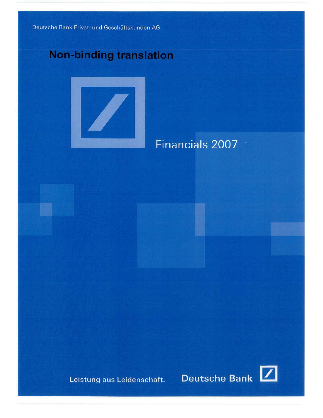Deutsche Bank Privat- und Geschäftskunden AG

# **Non-binding translation**



Financials 2007

Leistung aus Leidenschaft.

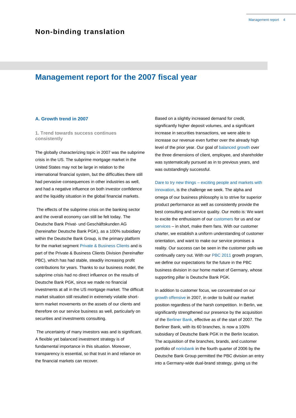# **Management report for the 2007 fiscal year**

# **A. Growth trend in 2007**

**1. Trend towards success continues consistently**

The globally characterizing topic in 2007 was the subprime crisis in the US. The subprime mortgage market in the United States may not be large in relation to the international financial system, but the difficulties there still had pervasive consequences in other industries as well, and had a negative influence on both investor confidence and the liquidity situation in the global financial markets.

The effects of the subprime crisis on the banking sector and the overall economy can still be felt today. The Deutsche Bank Privat- und Geschäftskunden AG (hereinafter Deutsche Bank PGK), as a 100% subsidiary within the Deutsche Bank Group, is the primary platform for the market segment Private & Business Clients and is part of the Private & Business Clients Division (hereinafter PBC), which has had stable, steadily increasing profit contributions for years. Thanks to our business model, the subprime crisis had no direct influence on the results of Deutsche Bank PGK, since we made no financial investments at all in the US mortgage market. The difficult market situation still resulted in extremely volatile shortterm market movements on the assets of our clients and therefore on our service business as well, particularly on securities and investments consulting.

The uncertainty of many investors was and is significant. A flexible yet balanced investment strategy is of fundamental importance in this situation. Moreover, transparency is essential, so that trust in and reliance on the financial markets can recover.

Based on a slightly increased demand for credit, significantly higher deposit volumes, and a significant increase in securities transactions, we were able to increase our revenue even further over the already high level of the prior year. Our goal of balanced growth over the three dimensions of client, employee, and shareholder was systematically pursued as in to previous years, and was outstandingly successful.

Dare to try new things – exciting people and markets with innovation, is the challenge we seek. The alpha and omega of our business philosophy is to strive for superior product performance as well as consistently provide the best consulting and service quality. Our motto is: We want to excite the enthusiasm of our customers for us and our services – in short, make them fans. With our customer charter, we establish a uniform understanding of customer orientation, and want to make our service promises a reality. Our success can be seen in the customer polls we continually carry out. With our PBC 2011 growth program, we define our expectations for the future in the PBC business division in our home market of Germany, whose supporting pillar is Deutsche Bank PGK.

In addition to customer focus, we concentrated on our growth offensive in 2007, in order to build our market position regardless of the harsh competition. In Berlin, we significantly strengthened our presence by the acquisition of the Berliner Bank, effective as of the start of 2007. The Berliner Bank, with its 60 branches, is now a 100% subsidiary of Deutsche Bank PGK in the Berlin location. The acquisition of the branches, brands, and customer portfolio of norisbank in the fourth quarter of 2006 by the Deutsche Bank Group permitted the PBC division an entry into a Germany-wide dual-brand strategy, giving us the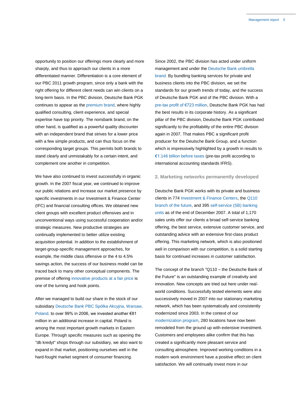opportunity to position our offerings more clearly and more sharply, and thus to approach our clients in a more differentiated manner. Differentiation is a core element of our PBC 2011 growth program, since only a bank with the right offering for different client needs can win clients on a long-term basis. In the PBC division, Deutsche Bank PGK continues to appear as the premium brand, where highly qualified consulting, client experience, and special expertise have top priority. The norisbank brand, on the other hand, is qualified as a powerful quality discounter with an independent brand that strives for a lower price with a few simple products, and can thus focus on the corresponding target groups. This permits both brands to stand clearly and unmistakably for a certain intent, and complement one another in competition.

We have also continued to invest successfully in organic growth. In the 2007 fiscal year, we continued to improve our public relations and increase our market presence by specific investments in our Investment & Finance Center (IFC) and financial consulting offices. We obtained new client groups with excellent product offensives and in unconventional ways using successful cooperation and/or strategic measures. New productive strategies are continually implemented to better utilize existing acquisition potential. In addition to the establishment of target-group-specific management approaches, for example, the middle class offensive or the 4 to 4.5% savings action, the success of our business model can be traced back to many other conceptual components. The premise of offering innovative products at a fair price is one of the turning and hook points.

After we managed to build our share in the stock of our subsidiary Deutsche Bank PBC Spólka Akcyjna, Warsaw, Poland, to over 99% in 2006, we invested another €81 million in an additional increase in capital. Poland is among the most important growth markets in Eastern Europe. Through specific measures such as opening the "db kredyt" shops through our subsidiary, we also want to expand in that market, positioning ourselves well in the hard-fought market segment of consumer financing.

Since 2002, the PBC division has acted under uniform management and under the Deutsche Bank umbrella brand. By bundling banking services for private and business clients into the PBC division, we set the standards for our growth trends of today, and the success of Deutsche Bank PGK and of the PBC division. With a pre-tax profit of €723 million, Deutsche Bank PGK has had the best results in its corporate history. As a significant pillar of the PBC division, Deutsche Bank PGK contributed significantly to the profitability of the entire PBC division again in 2007. That makes PBC a significant profit producer for the Deutsche Bank Group, and a function which is impressively highlighted by a growth in results to €1.146 billion before taxes (pre-tax profit according to international accounting standards IFRS).

## **2. Marketing networks permanently developed**

Deutsche Bank PGK works with its private and business clients in 774 Investment & Finance Centers, the Q110 branch of the future, and 395 self-service (SB) banking units as of the end of December 2007. A total of 1,170 sales units offer our clients a broad self-service banking offering, the best service, extensive customer service, and outstanding advice with an extensive first-class product offering. This marketing network, which is also positioned well in comparison with our competition, is a solid starting basis for continued increases in customer satisfaction.

The concept of the branch "Q110 – the Deutsche Bank of the Future" is an outstanding example of creativity and innovation. New concepts are tried out here under realworld conditions. Successfully tested elements were also successively moved in 2007 into our stationary marketing network, which has been systematically and consistently modernized since 2003. In the context of our modernization program, 280 locations have now been remodeled from the ground up with extensive investment. Customers and employees alike confirm that this has created a significantly more pleasant service and consulting atmosphere. Improved working conditions in a modern work environment have a positive effect on client satisfaction. We will continually invest more in our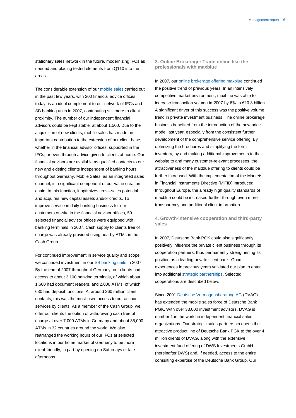stationary sales network in the future, modernizing IFCs as needed and placing tested elements from Q110 into the areas.

The considerable extension of our mobile sales carried out in the past few years, with 200 financial advice offices today, is an ideal complement to our network of IFCs and SB banking units in 2007, contributing still more to client proximity. The number of our independent financial advisors could be kept stable, at about 1,500. Due to the acquisition of new clients, mobile sales has made an important contribution to the extension of our client base, whether in the financial advisor offices, supported in the IFCs, or even through advice given to clients at home. Our financial advisors are available as qualified contacts to our new and existing clients independent of banking hours throughout Germany. Mobile Sales, as an integrated sales channel, is a significant component of our value creation chain. In this function, it optimizes cross-sales potential and acquires new capital assets and/or credits. To improve service in daily banking business for our customers on-site in the financial advisor offices, 50 selected financial advisor offices were equipped with banking terminals in 2007. Cash supply to clients free of charge was already provided using nearby ATMs in the Cash Group.

For continued improvement in service quality and scope, we continued investment in our SB banking units in 2007. By the end of 2007 throughout Germany, our clients had access to about 3,100 banking terminals, of which about 1,600 had document readers, and 2,000 ATMs, of which 630 had deposit functions. At around 260 million client contacts, this was the most-used access to our account services by clients. As a member of the Cash Group, we offer our clients the option of withdrawing cash free of charge at over 7,000 ATMs in Germany and about 35,000 ATMs in 32 countries around the world. We also rearranged the working hours of our IFCs at selected locations in our home market of Germany to be more client-friendly, in part by opening on Saturdays or late afternoons.

**3. Online Brokerage: Trade online like the professionals with maxblue**

In 2007, our online brokerage offering maxblue continued the positive trend of previous years. In an intensively competitive market environment, maxblue was able to increase transaction volume in 2007 by 6% to €10.3 billion. A significant driver of this success was the positive volume trend in private investment business. The online brokerage business benefited from the introduction of the new price model last year, especially from the consistent further development of the comprehensive service offering. By optimizing the brochures and simplifying the form inventory, by and making additional improvements to the website to and many customer-relevant processes, the attractiveness of the maxblue offering to clients could be further increased. With the implementation of the Markets in Financial Instruments Directive (MiFID) introduced throughout Europe, the already high quality standards of maxblue could be increased further through even more transparency and additional client information.

# **4. Growth-intensive cooperation and third-party sales**

In 2007, Deutsche Bank PGK could also significantly positively influence the private client business through its cooperation partners, thus permanently strengthening its position as a leading private client bank. Good experiences in previous years validated our plan to enter into additional strategic partnerships. Selected cooperations are described below.

Since 2001 Deutsche Vermögensberatung AG (DVAG) has extended the mobile sales force of Deutsche Bank PGK. With over 33,000 investment advisors, DVAG is number 1 in the world in independent financial sales organizations. Our strategic sales partnership opens the attractive product line of Deutsche Bank PGK to the over 4 million clients of DVAG, along with the extensive investment fund offering of DWS Investments GmbH (hereinafter DWS) and, if needed, access to the entire consulting expertise of the Deutsche Bank Group. Our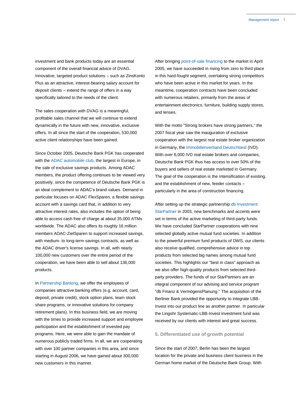investment and bank products today are an essential component of the overall financial advice of DVAG. Innovative, targeted product solutions – such as ZinsKonto Plus as an attractive, interest-bearing salary account for deposit clients – extend the range of offers in a way specifically tailored to the needs of the client.

The sales cooperation with DVAG is a meaningful, profitable sales channel that we will continue to extend dynamically in the future with new, innovative, exclusive offers. In all since the start of the cooperation, 530,000 active client relationships have been gained.

Since October 2005, Deutsche Bank PGK has cooperated with the ADAC automobile club, the largest in Europe, in the sale of exclusive savings products. Among ADAC members, the product offering continues to be viewed very positively, since the competence of Deutsche Bank PGK is an ideal complement to ADAC's brand values. Demand in particular focuses on ADAC FlexSparen, a flexible savings account with a savings card that, in addition to very attractive interest rates, also includes the option of being able to access cash free of charge at about 35,000 ATMs worldwide. The ADAC also offers its roughly 16 million members ADAC-ZielSparen to support increased savings, with medium- to long-term savings contracts, as well as the ADAC driver's license savings. In all, with nearly 100,000 new customers over the entire period of the cooperation, we have been able to sell about 136,000 products.

In Partnership Banking, we offer the employees of companies attractive banking offers (e.g. account, card, deposit, private credit), stock option plans, team stock share programs, or innovative solutions for company retirement plans). In this business field, we are moving with the times to provide increased support and employee participation and the establishment of invested pay programs. Here, we were able to gain the mandate of numerous publicly traded firms. In all, we are cooperating with over 100 partner companies in this area, and since starting in August 2006, we have gained about 300,000 new customers in this manner.

After bringing point-of-sale financing to the market in April 2005, we have succeeded in rising from zero to third place in this hard-fought segment, overtaking strong competitors who have been active in this market for years. In the meantime, cooperation contracts have been concluded with numerous retailers, primarily from the areas of entertainment electronics, furniture, building supply stores, and lenses.

With the motto "Strong brokers have strong partners," the 2007 fiscal year saw the inauguration of exclusive cooperation with the largest real estate broker organization in Germany, the Immobilienverband Deutschland (IVD). With over 6,000 IVD real estate brokers and companies, Deutsche Bank PGK thus has access to over 50% of the buyers and sellers of real estate marketed in Germany. The goal of the cooperation is the intensification of existing, and the establishment of new, feeder contacts – particularly in the area of construction financing.

After setting up the strategic partnership db Investment StarPartner in 2003, new benchmarks and accents were set in terms of the active marketing of third-party funds. We have concluded StarPartner cooperations with nine selected globally active mutual fund societies. In addition to the powerful premium fund products of DWS, our clients also receive qualified, comprehensive advice in top products from selected big names among mutual fund societies. This highlights our "best in class" approach as we also offer high-quality products from selected thirdparty providers. The funds of our StarPartners are an integral component of our advising and service program "db Finanz & VermögensPlanung." The acquisition of the Berliner Bank provided the opportunity to integrate LBB-Invest into our product line as another partner. In particular the Lingohr Systematic-LBB-Invest investment fund was received by our clients with interest and great success.

# **5. Differentiated use of growth potential**

Since the start of 2007, Berlin has been the largest location for the private and business client business in the German home market of the Deutsche Bank Group. With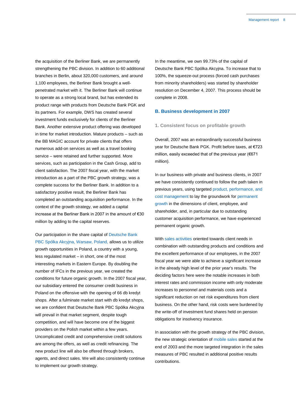the acquisition of the Berliner Bank, we are permanently strengthening the PBC division. In addition to 60 additional branches in Berlin, about 320,000 customers, and around 1,100 employees, the Berliner Bank brought a wellpenetrated market with it. The Berliner Bank will continue to operate as a strong local brand, but has extended its product range with products from Deutsche Bank PGK and its partners. For example, DWS has created several investment funds exclusively for clients of the Berliner Bank. Another extensive product offering was developed in time for market introduction. Mature products – such as the BB MAGIC account for private clients that offers numerous add-on services as well as a travel booking service – were retained and further supported. More services, such as participation in the Cash Group, add to client satisfaction. The 2007 fiscal year, with the market introduction as a part of the PBC growth strategy, was a complete success for the Berliner Bank. In addition to a satisfactory positive result, the Berliner Bank has completed an outstanding acquisition performance. In the context of the growth strategy, we added a capital increase at the Berliner Bank in 2007 in the amount of €30 million by adding to the capital reserves.

Our participation in the share capital of Deutsche Bank PBC Spólka Akcyjna, Warsaw, Poland, allows us to utilize

growth opportunities in Poland, a country with a young, less regulated market – in short, one of the most interesting markets in Eastern Europe. By doubling the number of IFCs in the previous year, we created the conditions for future organic growth. In the 2007 fiscal year, our subsidiary entered the consumer credit business in Poland on the offensive with the opening of 66 db kredyt shops. After a fulminate market start with db kredyt shops, we are confident that Deutsche Bank PBC Spólka Akcyjna will prevail in that market segment, despite tough competition, and will have become one of the biggest providers on the Polish market within a few years. Uncomplicated credit and comprehensive credit solutions are among the offers, as well as credit refinancing. The new product line will also be offered through brokers, agents, and direct sales. We will also consistently continue to implement our growth strategy.

In the meantime, we own 99.73% of the capital of Deutsche Bank PBC Spólka Akcyjna. To increase that to 100%, the squeeze-out process (forced cash purchases from minority shareholders) was started by shareholder resolution on December 4, 2007. This process should be complete in 2008.

#### **B. Business development in 2007**

### **1. Consistent focus on profitable growth**

Overall, 2007 was an extraordinarily successful business year for Deutsche Bank PGK. Profit before taxes, at €723 million, easily exceeded that of the previous year (€671 million).

In our business with private and business clients, in 2007 we have consistently continued to follow the path taken in previous years, using targeted product, performance, and cost management to lay the groundwork for permanent growth in the dimensions of client, employee, and shareholder, and, in particular due to outstanding customer acquisition performance, we have experienced permanent organic growth.

With sales activities oriented towards client needs in combination with outstanding products and conditions and the excellent performance of our employees, in the 2007 fiscal year we were able to achieve a significant increase in the already high level of the prior year's results. The deciding factors here were the notable increases in both interest rates and commission income with only moderate increases to personnel and materials costs and a significant reduction on net risk expenditures from client business. On the other hand, risk costs were burdened by the write-off of investment fund shares held on pension obligations for insolvency insurance.

In association with the growth strategy of the PBC division, the new strategic orientation of mobile sales started at the end of 2003 and the more targeted integration in the sales measures of PBC resulted in additional positive results contributions.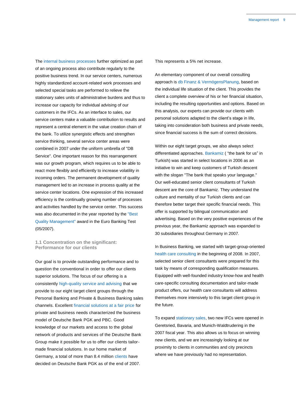The internal business processes further optimized as part of an ongoing process also contribute regularly to the positive business trend. In our service centers, numerous highly standardized account-related work processes and selected special tasks are performed to relieve the stationary sales units of administrative burdens and thus to increase our capacity for individual advising of our customers in the IFCs. As an interface to sales, our service centers make a valuable contribution to results and represent a central element in the value creation chain of the bank. To utilize synergistic effects and strengthen service thinking, several service center areas were combined in 2007 under the uniform umbrella of "DB Service". One important reason for this rearrangement was our growth program, which requires us to be able to react more flexibly and efficiently to increase volatility in incoming orders. The permanent development of quality management led to an increase in process quality at the service center locations. One expression of this increased efficiency is the continually growing number of processes and activities handled by the service center. This success was also documented in the year reported by the "Best Quality Management" award in the Euro Banking Test (05/2007).

# **1.1 Concentration on the significant: Performance for our clients**

Our goal is to provide outstanding performance and to question the conventional in order to offer our clients superior solutions. The focus of our offering is a consistently high-quality service and advising that we provide to our eight target client groups through the Personal Banking and Private & Business Banking sales channels. Excellent financial solutions at a fair price for private and business needs characterized the business model of Deutsche Bank PGK and PBC. Good knowledge of our markets and access to the global network of products and services of the Deutsche Bank Group make it possible for us to offer our clients tailormade financial solutions. In our home market of Germany, a total of more than 8.4 million clients have decided on Deutsche Bank PGK as of the end of 2007.

This represents a 5% net increase.

An elementary component of our overall consulting approach is db Finanz & VermögensPlanung, based on the individual life situation of the client. This provides the client a complete overview of his or her financial situation, including the resulting opportunities and options. Based on this analysis, our experts can provide our clients with personal solutions adapted to the client's stage in life, taking into consideration both business and private needs, since financial success is the sum of correct decisions.

Within our eight target groups, we also always select differentiated approaches. Bankamiz ( "the bank for us" in Turkish) was started in select locations in 2006 as an initiative to win and keep customers of Turkish descent with the slogan "The bank that speaks your language." Our well-educated senior client consultants of Turkish descent are the core of Bankamiz. They understand the culture and mentality of our Turkish clients and can therefore better target their specific financial needs. This offer is supported by bilingual communication and advertising. Based on the very positive experiences of the previous year, the Bankamiz approach was expanded to 30 subsidiaries throughout Germany in 2007.

In Business Banking, we started with target-group-oriented health care consulting in the beginning of 2008. In 2007, selected senior client consultants were prepared for this task by means of corresponding qualification measures. Equipped with well-founded industry know-how and health care-specific consulting documentation and tailor-made product offers, our health care consultants will address themselves more intensively to this target client group in the future.

To expand stationary sales, two new IFCs were opened in Geretsried, Bavaria, and Munich-Waldtrudering in the 2007 fiscal year. This also allows us to focus on winning new clients, and we are increasingly looking at our proximity to clients in communities and city precincts where we have previously had no representation.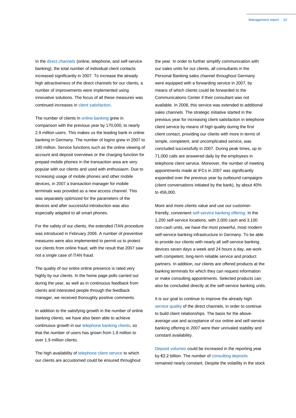In the direct channels (online, telephone, and self-service banking), the total number of individual client contacts increased significantly in 2007. To increase the already high attractiveness of the direct channels for our clients, a number of improvements were implemented using innovative solutions. The focus of all these measures was continued increases in client satisfaction.

The number of clients in online banking grew in comparison with the previous year by 170,000, to nearly 2.9 million users. This makes us the leading bank in online banking in Germany. The number of logins grew in 2007 to 190 million. Service functions such as the online viewing of account and deposit overviews or the charging function for prepaid mobile phones in the transaction area are very popular with our clients and used with enthusiasm. Due to increasing usage of mobile phones and other mobile devices, in 2007 a transaction manager for mobile terminals was provided as a new access channel. This was separately optimized for the parameters of the devices and after successful introduction was also especially adapted to all smart phones.

For the safety of our clients, the extended iTAN procedure was introduced in February 2006. A number of preventive measures were also implemented to permit us to protect our clients from online fraud, with the result that 2007 saw not a single case of iTAN fraud.

The quality of our entire online presence is rated very highly by our clients. In the home page polls carried out during the year, as well as in continuous feedback from clients and interested people through the feedback manager, we received thoroughly positive comments.

In addition to the satisfying growth in the number of online banking clients, we have also been able to achieve continuous growth in our telephone banking clients, so that the number of users has grown from 1.8 million to over 1.9 million clients.

The high availability of telephone client service to which our clients are accustomed could be ensured throughout the year. In order to further simplify communication with our sales units for our clients, all consultants in the Personal Banking sales channel throughout Germany were equipped with a forwarding service in 2007, by means of which clients could be forwarded to the Communications Center if their consultant was not available. In 2008, this service was extended to additional sales channels. The strategic initiative started in the previous year for increasing client satisfaction in telephone client service by means of high quality during the first client contact, providing our clients with more in terms of simple, competent, and uncomplicated service, was concluded successfully in 2007. During peak times, up to 71,000 calls are answered daily by the employees in telephone client service. Moreover, the number of meeting appointments made at IFCs in 2007 was significantly expanded over the previous year by outbound campaigns (client conversations initiated by the bank), by about 40% to 456,000.

More and more clients value and use our customerfriendly, convenient self-service banking offering. In the 1,200 self-service locations, with 2,000 cash and 3,100 non-cash units, we have the most powerful, most modern self-service banking infrastructure in Germany. To be able to provide our clients with nearly all self-service banking devices seven days a week and 24 hours a day, we work with competent, long-term reliable service and product partners. In addition, our clients are offered products at the banking terminals for which they can request information or make consulting appointments. Selected products can also be concluded directly at the self-service banking units.

It is our goal to continue to improve the already high service quality of the direct channels, in order to continue to build client relationships. The basis for the aboveaverage use and acceptance of our online and self-service banking offering in 2007 were their unrivaled stability and constant availability.

Deposit volumes could be increased in the reporting year by €2.2 billion. The number of consulting deposits remained nearly constant. Despite the volatility in the stock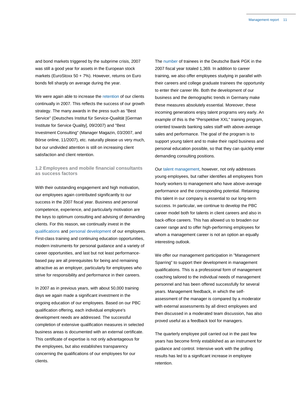and bond markets triggered by the subprime crisis, 2007 was still a good year for assets in the European stock markets (EuroStoxx 50 + 7%). However, returns on Euro bonds fell sharply on average during the year.

We were again able to increase the retention of our clients continually in 2007. This reflects the success of our growth strategy. The many awards in the press such as "Best Service" (Deutsches Institut für Service-Qualität [German Institute for Service Quality], 09/2007) and "Best Investment Consulting" (Manager Magazin, 03/2007, and Börse online, 11/2007), etc. naturally please us very much, but our undivided attention is still on increasing client satisfaction and client retention.

# **1.2 Employees and mobile financial consultants as success factors**

With their outstanding engagement and high motivation, our employees again contributed significantly to our success in the 2007 fiscal year. Business and personal competence, experience, and particularly motivation are the keys to optimum consulting and advising of demanding clients. For this reason, we continually invest in the qualifications and personal development of our employees. First-class training and continuing education opportunities, modern instruments for personal guidance and a variety of career opportunities, and last but not least performancebased pay are all prerequisites for being and remaining attractive as an employer, particularly for employees who strive for responsibility and performance in their careers.

In 2007 as in previous years, with about 50,000 training days we again made a significant investment in the ongoing education of our employees. Based on our PBC qualification offering, each individual employee's development needs are addressed. The successful completion of extensive qualification measures in selected business areas is documented with an external certificate. This certificate of expertise is not only advantageous for the employees, but also establishes transparency concerning the qualifications of our employees for our clients.

The number of trainees in the Deutsche Bank PGK in the 2007 fiscal year totaled 1,369. In addition to career training, we also offer employees studying in parallel with their careers and college graduate trainees the opportunity to enter their career life. Both the development of our business and the demographic trends in Germany make these measures absolutely essential. Moreover, these incoming generations enjoy talent programs very early. An example of this is the "Perspektive XXL" training program, oriented towards banking sales staff with above-average sales and performance. The goal of the program is to support young talent and to make their rapid business and personal education possible, so that they can quickly enter demanding consulting positions.

Our talent management, however, not only addresses young employees, but rather identifies all employees from hourly workers to management who have above-average performance and the corresponding potential. Retaining this talent in our company is essential to our long-term success. In particular, we continue to develop the PBC career model both for talents in client careers and also in back-office careers. This has allowed us to broaden our career range and to offer high-performing employees for whom a management career is not an option an equally interesting outlook.

We offer our management participation in "Management Sparring" to support their development in management qualifications. This is a professional form of management coaching tailored to the individual needs of management personnel and has been offered successfully for several years. Management feedback, in which the selfassessment of the manager is compared by a moderator with external assessments by all direct employees and then discussed in a moderated team discussion, has also proved useful as a feedback tool for managers.

The quarterly employee poll carried out in the past few years has become firmly established as an instrument for guidance and control. Intensive work with the polling results has led to a significant increase in employee retention.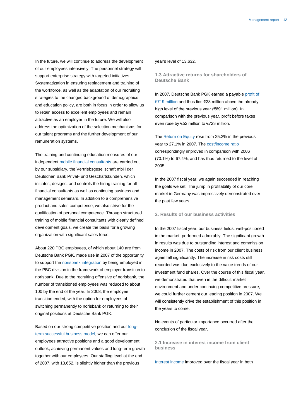In the future, we will continue to address the development of our employees intensively. The personnel strategy will support enterprise strategy with targeted initiatives. Systematization in ensuring replacement and training of the workforce, as well as the adaptation of our recruiting strategies to the changed background of demographics and education policy, are both in focus in order to allow us to retain access to excellent employees and remain attractive as an employer in the future. We will also address the optimization of the selection mechanisms for our talent programs and the further development of our remuneration systems.

The training and continuing education measures of our independent mobile financial consultants are carried out by our subsidiary, the Vertriebsgesellschaft mbH der Deutschen Bank Privat- und Geschäftskunden, which initiates, designs, and controls the hiring training for all financial consultants as well as continuing business and management seminars. In addition to a comprehensive product and sales competence, we also strive for the qualification of personal competence. Through structured training of mobile financial consultants with clearly defined development goals, we create the basis for a growing organization with significant sales force.

About 220 PBC employees, of which about 140 are from Deutsche Bank PGK, made use in 2007 of the opportunity to support the norisbank integration by being employed in the PBC division in the framework of employer transition to norisbank. Due to the recruiting offensive of norisbank, the number of transitioned employees was reduced to about 100 by the end of the year. In 2008, the employee transition ended, with the option for employees of switching permanently to norisbank or returning to their original positions at Deutsche Bank PGK.

Based on our strong competitive position and our longterm successful business model, we can offer our employees attractive positions and a good development outlook, achieving permanent values and long-term growth together with our employees. Our staffing level at the end of 2007, with 13,652, is slightly higher than the previous

#### year's level of 13,632.

**1.3 Attractive returns for shareholders of Deutsche Bank**

In 2007, Deutsche Bank PGK earned a payable profit of €719 million and thus lies €28 million above the already high level of the previous year (€691 million). In comparison with the previous year, profit before taxes even rose by €52 million to €723 million.

The Return on Equity rose from 25.2% in the previous year to 27.1% in 2007. The cost/income ratio correspondingly improved in comparison with 2006 (70.1%) to 67.4%, and has thus returned to the level of 2005.

In the 2007 fiscal year, we again succeeded in reaching the goals we set. The jump in profitability of our core market in Germany was impressively demonstrated over the past few years.

# **2. Results of our business activities**

In the 2007 fiscal year, our business fields, well-positioned in the market, performed admirably. The significant growth in results was due to outstanding interest and commission income in 2007. The costs of risk from our client business again fell significantly. The increase in risk costs still recorded was due exclusively to the value trends of our investment fund shares. Over the course of this fiscal year, we demonstrated that even in the difficult market environment and under continuing competitive pressure, we could further cement our leading position in 2007. We will consistently drive the establishment of this position in the years to come.

No events of particular importance occurred after the conclusion of the fiscal year.

**2.1 Increase in interest income from client business**

Interest income improved over the fiscal year in both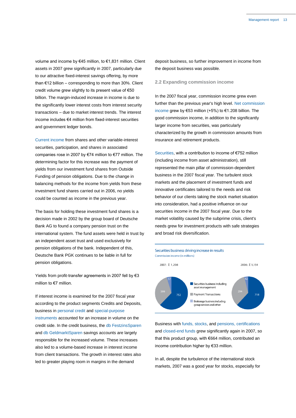volume and income by €45 million, to €1,831 million. Client assets in 2007 grew significantly in 2007, particularly due to our attractive fixed-interest savings offering, by more than €12 billion – corresponding to more than 30%. Client credit volume grew slightly to its present value of €50 billion. The margin-induced increase in income is due to the significantly lower interest costs from interest security transactions – due to market interest trends. The interest income includes €4 million from fixed-interest securities and government ledger bonds.

Current income from shares and other variable-interest securities, participation, and shares in associated companies rose in 2007 by €74 million to €77 million. The determining factor for this increase was the payment of yields from our investment fund shares from Outside Funding of pension obligations. Due to the change in balancing methods for the income from yields from these investment fund shares carried out in 2006, no yields could be counted as income in the previous year.

The basis for holding these investment fund shares is a decision made in 2002 by the group board of Deutsche Bank AG to found a company pension trust on the international system. The fund assets were held in trust by an independent asset trust and used exclusively for pension obligations of the bank. Independent of this, Deutsche Bank PGK continues to be liable in full for pension obligations.

Yields from profit-transfer agreements in 2007 fell by €3 million to €7 million.

If interest income is examined for the 2007 fiscal year according to the product segments Credits and Deposits, business in personal credit and special-purpose instruments accounted for an increase in volume on the credit side. In the credit business, the db FestzinsSparen and db GeldmarktSparen savings accounts are largely responsible for the increased volume. These increases also led to a volume-based increase in interest income from client transactions. The growth in interest rates also led to greater playing room in margins in the demand

deposit business, so further improvement in income from the deposit business was possible.

#### **2.2 Expanding commission income**

In the 2007 fiscal year, commission income grew even further than the previous year's high level. Net commission income grew by €53 million (+5%) to €1.208 billion. The good commission income, in addition to the significantly larger income from securities, was particularly characterized by the growth in commission amounts from insurance and retirement products.

Securities, with a contribution to income of €752 million (including income from asset administration), still represented the main pillar of commission-dependent business in the 2007 fiscal year. The turbulent stock markets and the placement of investment funds and innovative certificates tailored to the needs and risk behavior of our clients taking the stock market situation into consideration, had a positive influence on our securities income in the 2007 fiscal year. Due to the market volatility caused by the subprime crisis, client's needs grew for investment products with safe strategies and broad risk diversification.





Business with funds, stocks, and pensions, certifications and closed-end funds grew significantly again in 2007, so that this product group, with €664 million, contributed an income contribution higher by €33 million.

In all, despite the turbulence of the international stock markets, 2007 was a good year for stocks, especially for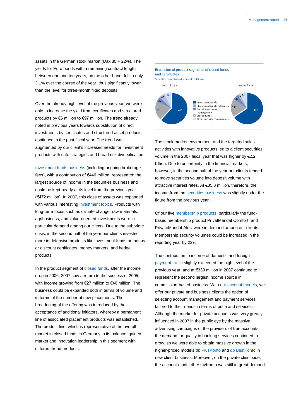assets in the German stock market (Dax 30 + 22%). The yields for Euro bonds with a remaining contract length between one and ten years, on the other hand, fell to only 3.1% over the course of the year, thus significantly lower than the level for three-month fixed deposits.

Over the already high level of the previous year, we were able to increase the yield from certificates and structured products by €6 million to €97 million. The trend already noted in previous years towards substitution of direct investments by certificates and structured asset products continued in the past fiscal year. The trend was augmented by our client's increased needs for investment products with safe strategies and broad risk diversification.

Investment funds business (including ongoing brokerage fees), with a contribution of €446 million, represented the largest source of income in the securities business and could be kept nearly at its level from the previous year (€472 million). In 2007, this class of assets was expanded with various interesting investment topics. Products with long-term focus such as climate change, raw materials, agribusiness, and value-oriented investments were in particular demand among our clients. Due to the subprime crisis, in the second half of the year our clients invested more in defensive products like investment funds on bonus or discount certificates, money markets, and hedge products.

In the product segment of closed funds, after the income drop in 2006, 2007 saw a return to the success of 2005, with income growing from €27 million to €46 million. The business could be expanded both in terms of volume and in terms of the number of new placements. The broadening of the offering was introduced by the acceptance of additional initiators, whereby a permanent line of associated placement products was established. The product line, which is representative of the overall market in closed funds in Germany in its balance, gained market and innovation leadership in this segment with different trend products.

# Expansion of product segments of closed funds and certificates Securities commission income (in millions) 2007: Σ752 2006: Σ 718 Investment funds Stocks/rents and certificates Securities account

management Other security commissions

The stock market environment and the targeted sales activities with innovative products led to a client securities volume in the 2007 fiscal year that was higher by €2.2 billion. Due to uncertainty in the financial markets, however, in the second half of the year our clients tended to move securities volume into deposit volume with attractive interest rates. At €35.3 million, therefore, the income from the securities business was slightly under the figure from the previous year.

Of our five membership products, particularly the fundbased membership product PrivatMandat Comfort, and PrivateMandat Aktiv were in demand among our clients. Membership security volumes could be increased in the reporting year by 22%.

The contribution to income of domestic and foreign payment traffic slightly exceeded the high level of the previous year, and at €339 million in 2007 continued to represent the second largest income source in commission-based business. With our account models, we offer our private and business clients the option of selecting account management and payment services tailored to their needs in terms of price and services. Although the market for private accounts was very greatly influenced in 2007 in the public eye by the massive advertising campaigns of the providers of free accounts, the demand for quality in banking services continued to grow, so we were able to obtain massive growth in the higher-priced models db PlusKonto and db BestKonto in new client business. Moreover, on the private client side, the account model db AktivKonto was still in great demand.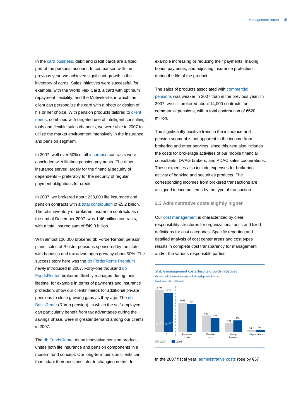In the card business, debit and credit cards are a fixed part of the personal account. In comparison with the previous year, we achieved significant growth in the inventory of cards. Sales initiatives were successful, for example, with the World Flex Card, a card with optimum repayment flexibility, and the Motivekarte, in which the client can personalize the card with a photo or design of his or her choice. With pension products tailored to client needs, combined with targeted use of intelligent consulting tools and flexible sales channels, we were able in 2007 to utilize the market environment intensively in the insurance and pension segment.

In 2007, well over 60% of all insurance contracts were concluded with lifetime pension payments. The other insurance served largely for the financial security of dependents – preferably for the security of regular payment obligations for credit.

In 2007, we brokered about 238,000 life insurance and pension contracts with a total contribution of €5.2 billion. The total inventory of brokered insurance contracts as of the end of December 2007, was 1.46 million contracts, with a total insured sum of €49.0 billion.

With almost 100,000 brokered db FörderRenten pension plans, sales of Riester pensions sponsored by the state with bonuses and tax advantages grew by about 50%. The success story here was the db FörderRente Premium newly introduced in 2007. Forty-one thousand db FondsRenten brokered, flexibly managed during their lifetime, for example in terms of payments and insurance protection, show our clients' needs for additional private pensions to close growing gaps as they age. The db BasisRente (Rürup pension), in which the self-employed can particularly benefit from tax advantages during the savings phase, were in greater demand among our clients in 2007.

The db FondsRente, as an innovative pension product, unites both life insurance and pension components in a modern fund concept. Our long-term pension clients can thus adapt their pensions later to changing needs, for

example increasing or reducing their payments, making bonus payments, and adjusting insurance protection during the life of the product.

The sales of products associated with commercial pensions was weaker in 2007 than in the previous year. In 2007, we still brokered about 14,000 contracts for commercial pensions, with a total contribution of €620 million.

The significantly positive trend in the insurance and pension segment is not apparent in the income from brokering and other services, since this item also includes the costs for brokerage activities of our mobile financial consultants, DVAG brokers, and ADAC sales cooperations. These expenses also include expenses for brokering activity of banking and securities products. The corresponding incomes from brokered transactions are assigned to income items by the type of transaction.

# **2.3 Administrative costs slightly higher**

Our cost management is characterized by clear responsibility structures for organizational units and fixed definitions for cost categories. Specific reporting and detailed analysis of cost center areas and cost types results in complete cost transparency for management and/or the various responsible parties.



In the 2007 fiscal year, administrative costs rose by €37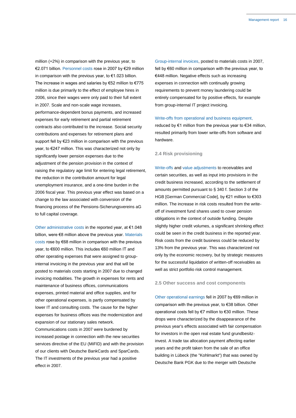million (+2%) in comparison with the previous year, to €2.071 billion. Personnel costs rose in 2007 by €29 million in comparison with the previous year, to €1.023 billion. The increase in wages and salaries by  $€52$  million to  $€775$ million is due primarily to the effect of employee hires in 2006, since their wages were only paid to their full extent in 2007. Scale and non-scale wage increases, performance-dependent bonus payments, and increased expenses for early retirement and partial retirement contracts also contributed to the increase. Social security contributions and expenses for retirement plans and support fell by €23 million in comparison with the previous year, to €247 million. This was characterized not only by significantly lower pension expenses due to the adjustment of the pension provision in the context of raising the regulatory age limit for entering legal retirement, the reduction in the contribution amount for legal unemployment insurance, and a one-time burden in the 2006 fiscal year. This previous year effect was based on a change to the law associated with conversion of the financing process of the Pensions-Sicherungsvereins aG to full capital coverage.

Other administrative costs in the reported year, at €1.048 billion, were €8 million above the previous year. Materials costs rose by €68 million in comparison with the previous year, to €600 million. This includes €60 million IT and other operating expenses that were assigned to groupinternal invoicing in the previous year and that will be posted to materials costs starting in 2007 due to changed invoicing modalities. The growth in expenses for rents and maintenance of business offices, communications expenses, printed material and office supplies, and for other operational expenses, is partly compensated by lower IT and consulting costs. The cause for the higher expenses for business offices was the modernization and expansion of our stationary sales network. Communications costs in 2007 were burdened by increased postage in connection with the new securities services directive of the EU (MiFID) and with the provision of our clients with Deutsche BankCards and SparCards. The IT investments of the previous year had a positive effect in 2007.

Group-internal invoices, posted to materials costs in 2007, fell by €60 million in comparison with the previous year, to €448 million. Negative effects such as increasing expenses in connection with continually growing requirements to prevent money laundering could be entirely compensated for by positive effects, for example from group-internal IT project invoicing.

#### Write-offs from operational and business equipment,

reduced by €1 million from the previous year to €34 million, resulted primarily from lower write-offs from software and hardware.

#### **2.4 Risk provisioning**

Write-offs and value adjustments to receivables and certain securities, as well as input into provisions in the credit business increased, according to the settlement of amounts permitted pursuant to § 340 f. Section 3 of the HGB [German Commercial Code], by €21 million to €303 million. The increase in risk costs resulted from the writeoff of investment fund shares used to cover pension obligations in the context of outside funding. Despite slightly higher credit volumes, a significant shrinking effect could be seen in the credit business in the reported year. Risk costs from the credit business could be reduced by 13% from the previous year. This was characterized not only by the economic recovery, but by strategic measures for the successful liquidation of written-off receivables as well as strict portfolio risk control management.

#### **2.5 Other success and cost components**

Other operational earnings fell in 2007 by €69 million in comparison with the previous year, to €38 billion. Other operational costs fell by €7 million to €30 million. These drops were characterized by the disappearance of the previous year's effects associated with fair compensation for investors in the open real estate fund grundbesitzinvest. A trade tax allocation payment affecting earlier years and the profit taken from the sale of an office building in Lübeck (the "Kohlmarkt") that was owned by Deutsche Bank PGK due to the merger with Deutsche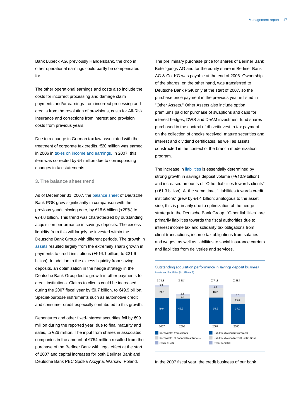Bank Lübeck AG, previously Handelsbank, the drop in other operational earnings could partly be compensated for.

The other operational earnings and costs also include the costs for incorrect processing and damage claim payments and/or earnings from incorrect processing and credits from the resolution of provisions, costs for All-Risk Insurance and corrections from interest and provision costs from previous years.

Due to a change in German tax law associated with the treatment of corporate tax credits, €20 million was earned in 2006 in taxes on income and earnings. In 2007, this item was corrected by €4 million due to corresponding changes in tax statements.

# **3. The balance sheet trend**

As of December 31, 2007, the balance sheet of Deutsche Bank PGK grew significantly in comparison with the previous year's closing date, by €16.6 billion (+29%) to €74.8 billion. This trend was characterized by outstanding acquisition performance in savings deposits. The excess liquidity from this will largely be invested within the Deutsche Bank Group with different periods. The growth in assets resulted largely from the extremely sharp growth in payments to credit institutions (+€16.1 billion, to €21.6 billion). In addition to the excess liquidity from saving deposits, an optimization in the hedge strategy in the Deutsche Bank Group led to growth in other payments to credit institutions. Claims to clients could be increased during the 2007 fiscal year by €0.7 billion, to €49.9 billion. Special-purpose instruments such as automotive credit and consumer credit especially contributed to this growth.

Debentures and other fixed-interest securities fell by €99 million during the reported year, due to final maturity and sales, to €26 million. The input from shares in associated companies in the amount of €754 million resulted from the purchase of the Berliner Bank with legal effect at the start of 2007 and capital increases for both Berliner Bank and Deutsche Bank PBC Spólka Akcyjna, Warsaw, Poland.

The preliminary purchase price for shares of Berliner Bank Beteiligungs AG and for the equity share in Berliner Bank AG & Co. KG was payable at the end of 2006. Ownership of the shares, on the other hand, was transferred to Deutsche Bank PGK only at the start of 2007, so the purchase price payment in the previous year is listed in "Other Assets." Other Assets also include option premiums paid for purchase of swaptions and caps for interest hedges, DWS and DeAM investment fund shares purchased in the context of db zeitinvest, a tax payment on the collection of checks received, mature securities and interest and dividend certificates, as well as assets constructed in the context of the branch modernization program.

The increase in liabilities is essentially determined by strong growth in savings deposit volume (+€10.9 billion) and increased amounts of "Other liabilities towards clients" (+€1.3 billion). At the same time, "Liabilities towards credit institutions" grew by €4.4 billion; analogous to the asset side, this is primarily due to optimization of the hedge strategy in the Deutsche Bank Group. "Other liabilities" are primarily liabilities towards the fiscal authorities due to interest income tax and solidarity tax obligations from client transactions, income tax obligations from salaries and wages, as well as liabilities to social insurance carriers and liabilities from deliveries and services.

Outstanding acquisition performance in savings deposit business Assets and liabilities (in billions  $\epsilon$ )



In the 2007 fiscal year, the credit business of our bank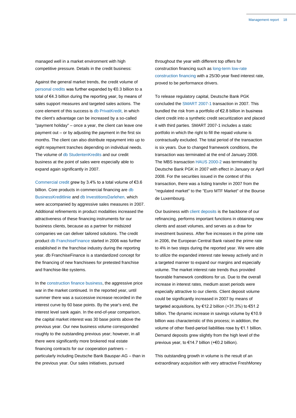managed well in a market environment with high competitive pressure. Details in the credit business:

Against the general market trends, the credit volume of personal credits was further expanded by €0.3 billion to a total of €4.3 billion during the reporting year, by means of sales support measures and targeted sales actions. The core element of this success is db PrivatKredit, in which the client's advantage can be increased by a so-called "payment holiday" – once a year, the client can leave one payment out – or by adjusting the payment in the first six months. The client can also distribute repayment into up to eight repayment tranches depending on individual needs. The volume of db StudentenKredits and our credit business at the point of sales were especially able to expand again significantly in 2007.

Commercial credit grew by 3.4% to a total volume of €3.6 billion. Core products in commercial financing are db BusinessKreditlinie and db InvestitionsDarlehen, which were accompanied by aggressive sales measures in 2007. Additional refinements in product modalities increased the attractiveness of these financing instruments for our business clients, because as a partner for midsized companies we can deliver tailored solutions. The credit product db FranchiseFinance started in 2006 was further established in the franchise industry during the reporting year. db FranchiseFinance is a standardized concept for the financing of new franchisees for pretested franchise and franchise-like systems.

In the construction finance business, the aggressive price war in the market continued. In the reported year, until summer there was a successive increase recorded in the interest curve by 60 base points. By the year's end, the interest level sank again. In the end-of-year comparison, the capital market interest was 30 base points above the previous year. Our new business volume corresponded roughly to the outstanding previous year; however, in all there were significantly more brokered real estate financing contracts for our cooperation partners – particularly including Deutsche Bank Bauspar-AG – than in the previous year. Our sales initiatives, pursued

throughout the year with different top offers for construction financing such as long-term low-rate construction financing with a 25/30-year fixed interest rate, proved to be performance drivers.

To release regulatory capital, Deutsche Bank PGK concluded the SMART 2007-1 transaction in 2007. This bundled the risk from a portfolio of €2.8 billion in business client credit into a synthetic credit securitization and placed it with third parties. SMART 2007-1 includes a static portfolio in which the right to fill the repaid volume is contractually excluded. The total period of the transaction is six years. Due to changed framework conditions, the transaction was terminated at the end of January 2008. The MBS transaction HAUS 2000-2 was terminated by Deutsche Bank PGK in 2007 with effect in January or April 2008. For the securities issued in the context of this transaction, there was a listing transfer in 2007 from the "regulated market" to the "Euro MTF Market" of the Bourse de Luxembourg.

Our business with client deposits is the backbone of our refinancing, performs important functions in obtaining new clients and asset volumes, and serves as a draw for investment business. After five increases in the prime rate in 2006, the European Central Bank raised the prime rate to 4% in two steps during the reported year. We were able to utilize the expanded interest rate leeway actively and in a targeted manner to expand our margins and especially volume. The market interest rate trends thus provided favorable framework conditions for us. Due to the overall increase in interest rates, medium asset periods were especially attractive to our clients. Client deposit volume could be significantly increased in 2007 by means of targeted acquisitions, by €12.2 billion (+31.3%) to €51.2 billion. The dynamic increase in savings volume by €10.9 billion was characteristic of this process; in addition, the volume of other fixed-period liabilities rose by €1.1 billion. Demand deposits grew slightly from the high level of the previous year, to €14.7 billion (+€0.2 billion).

This outstanding growth in volume is the result of an extraordinary acquisition with very attractive FreshMoney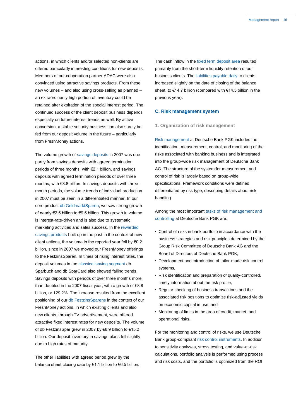actions, in which clients and/or selected non-clients are offered particularly interesting conditions for new deposits. Members of our cooperation partner ADAC were also convinced using attractive savings products. From these new volumes – and also using cross-selling as planned – an extraordinarily high portion of inventory could be retained after expiration of the special interest period. The continued success of the client deposit business depends especially on future interest trends as well. By active conversion, a stable security business can also surely be fed from our deposit volume in the future – particularly from FreshMoney actions.

The volume growth of savings deposits in 2007 was due partly from savings deposits with agreed termination periods of three months, with €2.1 billion, and savings deposits with agreed termination periods of over three months, with €8.8 billion. In savings deposits with threemonth periods, the volume trends of individual production in 2007 must be seen in a differentiated manner. In our core product db GeldmarktSparen, we saw strong growth of nearly €2.5 billion to €9.5 billion. This growth in volume is interest-rate-driven and is also due to systematic marketing activities and sales success. In the rewarded savings products built up in the past in the context of new client actions, the volume in the reported year fell by €0.2 billion, since in 2007 we moved our FreshMoney offerings to the FestzinsSparen. In times of rising interest rates, the deposit volumes in the classical saving segment db Sparbuch and db SparCard also showed falling trends. Savings deposits with periods of over three months more than doubled in the 2007 fiscal year, with a growth of €8.8 billion, or 129.2%. The increase resulted from the excellent positioning of our db FestzinsSparens in the context of our FreshMoney actions, in which existing clients and also new clients, through TV advertisement, were offered attractive fixed interest rates for new deposits. The volume of db FestzinsSpar grew in 2007 by €8.9 billion to €15.2 billion. Our deposit inventory in savings plans fell slightly due to high rates of maturity.

The other liabilities with agreed period grew by the balance sheet closing date by €1.1 billion to €6.5 billion. The cash inflow in the fixed term deposit area resulted primarily from the short-term liquidity retention of our business clients. The liabilities payable daily to clients increased slightly on the date of closing of the balance sheet, to €14.7 billion (compared with €14.5 billion in the previous year).

## **C. Risk management system**

#### **1. Organization of risk management**

Risk management at Deutsche Bank PGK includes the identification, measurement, control, and monitoring of the risks associated with banking business and is integrated into the group-wide risk management of Deutsche Bank AG. The structure of the system for measurement and control of risk is largely based on group-wide specifications. Framework conditions were defined differentiated by risk type, describing details about risk handling.

Among the most important tasks of risk management and controlling at Deutsche Bank PGK are:

- Control of risks in bank portfolio in accordance with the business strategies and risk principles determined by the Group Risk Committee of Deutsche Bank AG and the Board of Directors of Deutsche Bank PGK,
- Development and introduction of tailor-made risk control systems,
- Risk identification and preparation of quality-controlled, timely information about the risk profile,
- Regular checking of business transactions and the associated risk positions to optimize risk-adjusted yields on economic capital in use, and
- Monitoring of limits in the area of credit, market, and operational risks.

For the monitoring and control of risks, we use Deutsche Bank group-compliant risk control instruments. In addition to sensitivity analyses, stress testing, and value-at-risk calculations, portfolio analysis is performed using process and risk costs, and the portfolio is optimized from the ROI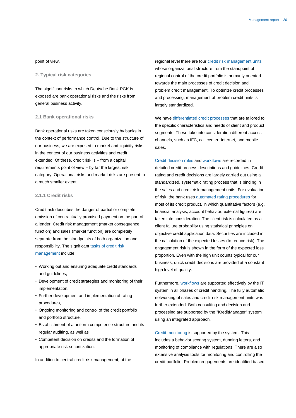#### point of view.

#### **2. Typical risk categories**

The significant risks to which Deutsche Bank PGK is exposed are bank operational risks and the risks from general business activity.

# **2.1 Bank operational risks**

Bank operational risks are taken consciously by banks in the context of performance control. Due to the structure of our business, we are exposed to market and liquidity risks in the context of our business activities and credit extended. Of these, credit risk is – from a capital requirements point of view – by far the largest risk category. Operational risks and market risks are present to a much smaller extent.

# **2.1.1 Credit risks**

Credit risk describes the danger of partial or complete omission of contractually promised payment on the part of a lender. Credit risk management (market consequence function) and sales (market function) are completely separate from the standpoints of both organization and responsibility. The significant tasks of credit risk management include:

- Working out and ensuring adequate credit standards and guidelines,
- Development of credit strategies and monitoring of their implementation,
- Further development and implementation of rating procedures,
- Ongoing monitoring and control of the credit portfolio and portfolio structure,
- Establishment of a uniform competence structure and its regular auditing, as well as
- Competent decision on credits and the formation of appropriate risk securitization.

In addition to central credit risk management, at the

regional level there are four credit risk management units whose organizational structure from the standpoint of regional control of the credit portfolio is primarily oriented towards the main processes of credit decision and problem credit management. To optimize credit processes and processing, management of problem credit units is largely standardized.

We have differentiated credit processes that are tailored to the specific characteristics and needs of client and product segments. These take into consideration different access channels, such as IFC, call center, Internet, and mobile sales.

Credit decision rules and workflows are recorded in detailed credit process descriptions and guidelines. Credit rating and credit decisions are largely carried out using a standardized, systematic rating process that is binding in the sales and credit risk management units. For evaluation of risk, the bank uses automated rating procedures for most of its credit product, in which quantitative factors (e.g. financial analysis, account behavior, external figures) are taken into consideration. The client risk is calculated as a client failure probability using statistical principles on objective credit application data. Securities are included in the calculation of the expected losses (to reduce risk). The engagement risk is shown in the form of the expected loss proportion. Even with the high unit counts typical for our business, quick credit decisions are provided at a constant high level of quality.

Furthermore, workflows are supported effectively by the IT system in all phases of credit handling. The fully automatic networking of sales and credit risk management units was further extended. Both consulting and decision and processing are supported by the "KreditManager" system using an integrated approach.

Credit monitoring is supported by the system. This includes a behavior scoring system, dunning letters, and monitoring of compliance with regulations. There are also extensive analysis tools for monitoring and controlling the credit portfolio. Problem engagements are identified based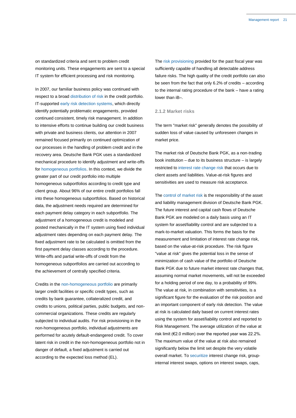on standardized criteria and sent to problem credit monitoring units. These engagements are sent to a special IT system for efficient processing and risk monitoring.

In 2007, our familiar business policy was continued with respect to a broad distribution of risk in the credit portfolio. IT-supported early risk detection systems, which directly identify potentially problematic engagements, provided continued consistent, timely risk management. In addition to intensive efforts to continue building our credit business with private and business clients, our attention in 2007 remained focused primarily on continued optimization of our processes in the handling of problem credit and in the recovery area. Deutsche Bank PGK uses a standardized mechanical procedure to identify adjustment and write-offs for homogeneous portfolios. In this context, we divide the greater part of our credit portfolio into multiple homogeneous subportfolios according to credit type and client group. About 96% of our entire credit portfolios fall into these homogeneous subportfolios. Based on historical data, the adjustment needs required are determined for each payment delay category in each subportfolio. The adjustment of a homogeneous credit is modeled and posted mechanically in the IT system using fixed individual adjustment rates depending on each payment delay. The fixed adjustment rate to be calculated is omitted from the first payment delay classes according to the procedure. Write-offs and partial write-offs of credit from the homogeneous subportfolios are carried out according to the achievement of centrally specified criteria.

Credits in the non-homogeneous portfolio are primarily larger credit facilities or specific credit types, such as credits by bank guarantee, collateralized credit, and credits to unions, political parties, public budgets, and noncommercial organizations. These credits are regularly subjected to individual audits. For risk provisioning in the non-homogeneous portfolio, individual adjustments are performed for acutely default-endangered credit. To cover latent risk in credit in the non-homogeneous portfolio not in danger of default, a fixed adjustment is carried out according to the expected loss method (EL).

The risk provisioning provided for the past fiscal year was sufficiently capable of handling all detectable address failure risks. The high quality of the credit portfolio can also be seen from the fact that only 6.2% of credits – according to the internal rating procedure of the bank – have a rating lower than iB–.

# **2.1.2 Market risks**

The term "market risk" generally denotes the possibility of sudden loss of value caused by unforeseen changes in market price.

The market risk of Deutsche Bank PGK, as a non-trading book institution – due to its business structure – is largely restricted to interest rate change risk that occurs due to client assets and liabilities. Value-at-risk figures and sensitivities are used to measure risk acceptance.

The control of market risk is the responsibility of the asset and liability management division of Deutsche Bank PGK. The future interest and capital cash flows of Deutsche Bank PGK are modeled on a daily basis using an IT system for asset/liability control and are subjected to a mark-to-market valuation. This forms the basis for the measurement and limitation of interest rate change risk, based on the value-at-risk procedure. The risk figure "value at risk" gives the potential loss in the sense of minimization of cash value of the portfolio of Deutsche Bank PGK due to future market interest rate changes that, assuming normal market movements, will not be exceeded for a holding period of one day, to a probability of 99%. The value at risk, in combination with sensitivities, is a significant figure for the evaluation of the risk position and an important component of early risk detection. The value at risk is calculated daily based on current interest rates using the system for asset/liability control and reported to Risk Management. The average utilization of the value at risk limit (€2.0 million) over the reported year was 22.2%. The maximum value of the value at risk also remained significantly below the limit set despite the very volatile overall market. To securitize interest change risk, groupinternal interest swaps, options on interest swaps, caps,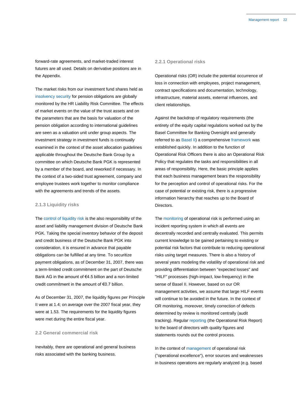forward-rate agreements, and market-traded interest futures are all used. Details on derivative positions are in the Appendix.

The market risks from our investment fund shares held as insolvency security for pension obligations are globally monitored by the HR Liability Risk Committee. The effects of market events on the value of the trust assets and on the parameters that are the basis for valuation of the pension obligation according to international guidelines are seen as a valuation unit under group aspects. The investment strategy in investment funds is continually examined in the context of the asset allocation guidelines applicable throughout the Deutsche Bank Group by a committee on which Deutsche Bank PGK is represented by a member of the board, and reworked if necessary. In the context of a two-sided trust agreement, company and employee trustees work together to monitor compliance with the agreements and trends of the assets.

#### **2.1.3 Liquidity risks**

The control of liquidity risk is the also responsibility of the asset and liability management division of Deutsche Bank PGK. Taking the special inventory behavior of the deposit and credit business of the Deutsche Bank PGK into consideration, it is ensured in advance that payable obligations can be fulfilled at any time. To securitize payment obligations, as of December 31, 2007, there was a term-limited credit commitment on the part of Deutsche Bank AG in the amount of €4.5 billion and a non-limited credit commitment in the amount of €0.7 billion.

As of December 31, 2007, the liquidity figures per Principle II were at 1.4; on average over the 2007 fiscal year, they were at 1.53. The requirements for the liquidity figures were met during the entire fiscal year.

#### **2.2 General commercial risk**

Inevitably, there are operational and general business risks associated with the banking business.

#### **2.2.1 Operational risks**

Operational risks (OR) include the potential occurrence of loss in connection with employees, project management, contract specifications and documentation, technology, infrastructure, material assets, external influences, and client relationships.

Against the backdrop of regulatory requirements (the entirety of the equity capital regulations worked out by the Basel Committee for Banking Oversight and generally referred to as Basel II) a comprehensive framework was established quickly. In addition to the function of Operational Risk Officers there is also an Operational Risk Policy that regulates the tasks and responsibilities in all areas of responsibility. Here, the basic principle applies that each business management bears the responsibility for the perception and control of operational risks. For the case of potential or existing risk, there is a progressive information hierarchy that reaches up to the Board of Directors.

The monitoring of operational risk is performed using an incident reporting system in which all events are decentrally recorded and centrally evaluated. This permits current knowledge to be gained pertaining to existing or potential risk factors that contribute to reducing operational risks using target measures. There is also a history of several years modeling the volatility of operational risk and providing differentiation between "expected losses" and "HILF" processes (high-impact, low-frequency) in the sense of Basel II. However, based on our OR management activities, we assume that large HILF events will continue to be avoided in the future. In the context of OR monitoring, moreover, timely correction of defects determined by review is monitored centrally (audit tracking). Regular reporting (the Operational Risk Report) to the board of directors with quality figures and statements rounds out the control process.

In the context of management of operational risk ("operational excellence"), error sources and weaknesses in business operations are regularly analyzed (e.g. based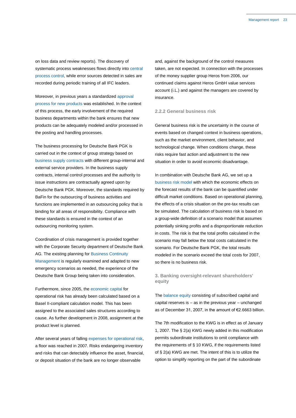on loss data and review reports). The discovery of systematic process weaknesses flows directly into central process control, while error sources detected in sales are recorded during periodic training of all IFC leaders.

Moreover, in previous years a standardized approval process for new products was established. In the context of this process, the early involvement of the required business departments within the bank ensures that new products can be adequately modeled and/or processed in the posting and handling processes.

The business processing for Deutsche Bank PGK is carried out in the context of group strategy based on business supply contracts with different group-internal and external service providers. In the business supply contracts, internal control processes and the authority to issue instructions are contractually agreed upon by Deutsche Bank PGK. Moreover, the standards required by BaFin for the outsourcing of business activities and functions are implemented in an outsourcing policy that is binding for all areas of responsibility. Compliance with these standards is ensured in the context of an outsourcing monitoring system.

Coordination of crisis management is provided together with the Corporate Security department of Deutsche Bank AG. The existing planning for Business Continuity Management is regularly examined and adapted to new emergency scenarios as needed, the experience of the Deutsche Bank Group being taken into consideration.

Furthermore, since 2005, the economic capital for operational risk has already been calculated based on a Basel II-compliant calculation model. This has been assigned to the associated sales structures according to cause. As further development in 2008, assignment at the product level is planned.

After several years of falling expenses for operational risk, a floor was reached in 2007. Risks endangering inventory and risks that can detectably influence the asset, financial, or deposit situation of the bank are no longer observable

and, against the background of the control measures taken, are not expected. In connection with the processes of the money supplier group Heros from 2006, our continued claims against Heros GmbH value services account (i.L.) and against the managers are covered by insurance.

#### **2.2.2 General business risk**

General business risk is the uncertainty in the course of events based on changed context in business operations, such as the market environment, client behavior, and technological change. When conditions change, these risks require fast action and adjustment to the new situation in order to avoid economic disadvantage.

In combination with Deutsche Bank AG, we set up a business risk model with which the economic effects on the forecast results of the bank can be quantified under difficult market conditions. Based on operational planning, the effects of a crisis situation on the pre-tax results can be simulated. The calculation of business risk is based on a group-wide definition of a scenario model that assumes potentially sinking profits and a disproportionate reduction in costs. The risk is that the total profits calculated in the scenario may fall below the total costs calculated in the scenario. For Deutsche Bank PGK, the total results modeled in the scenario exceed the total costs for 2007, so there is no business risk.

# **3. Banking oversight-relevant shareholders' equity**

The balance equity consisting of subscribed capital and capital reserves is – as in the previous year – unchanged as of December 31, 2007, in the amount of €2.6663 billion.

The 7th modification to the KWG is in effect as of January 1, 2007. The § 2(a) KWG newly added in this modification permits subordinate institutions to omit compliance with the requirements of § 10 KWG, if the requirements listed of § 2(a) KWG are met. The intent of this is to utilize the option to simplify reporting on the part of the subordinate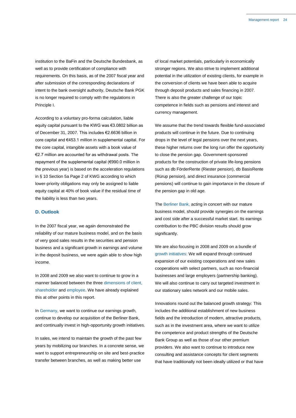institution to the BaFin and the Deutsche Bundesbank, as well as to provide certification of compliance with requirements. On this basis, as of the 2007 fiscal year and after submission of the corresponding declarations of intent to the bank oversight authority, Deutsche Bank PGK is no longer required to comply with the regulations in Principle I.

According to a voluntary pro-forma calculation, liable equity capital pursuant to the KWG was €3.0802 billion as of December 31, 2007. This includes €2.6636 billion in core capital and €453.1 million in supplemental capital. For the core capital, intangible assets with a book value of €2.7 million are accounted for as withdrawal posts. The repayment of the supplemental capital (€990.0 million in the previous year) is based on the acceleration regulations in § 10 Section 5a Page 2 of KWG according to which lower-priority obligations may only be assigned to liable equity capital at 40% of book value if the residual time of the liability is less than two years.

# **D. Outlook**

In the 2007 fiscal year, we again demonstrated the reliability of our mature business model, and on the basis of very good sales results in the securities and pension business and a significant growth in earnings and volume in the deposit business, we were again able to show high income.

In 2008 and 2009 we also want to continue to grow in a manner balanced between the three dimensions of client, shareholder and employee. We have already explained this at other points in this report.

In Germany, we want to continue our earnings growth, continue to develop our acquisition of the Berliner Bank, and continually invest in high-opportunity growth initiatives.

In sales, we intend to maintain the growth of the past few years by mobilizing our branches. In a concrete sense, we want to support entrepreneurship on site and best-practice transfer between branches, as well as making better use

of local market potentials, particularly in economically stronger regions. We also strive to implement additional potential in the utilization of existing clients, for example in the conversion of clients we have been able to acquire through deposit products and sales financing in 2007. There is also the greater challenge of our topic competence in fields such as pensions and interest and currency management.

We assume that the trend towards flexible fund-associated products will continue in the future. Due to continuing drops in the level of legal pensions over the next years, these higher returns over the long run offer the opportunity to close the pension gap. Government-sponsored products for the construction of private life-long pensions such as db FörderRente (Riester pension), db BasisRente (Rürup pension), and direct insurance (commercial pensions) will continue to gain importance in the closure of the pension gap in old age.

The Berliner Bank, acting in concert with our mature business model, should provide synergies on the earnings and cost side after a successful market start. Its earnings contribution to the PBC division results should grow significantly.

We are also focusing in 2008 and 2009 on a bundle of growth initiatives: We will expand through continued expansion of our existing cooperations and new sales cooperations with select partners, such as non-financial businesses and large employers (partnership banking). We will also continue to carry out targeted investment in our stationary sales network and our mobile sales.

Innovations round out the balanced growth strategy: This includes the additional establishment of new business fields and the introduction of modern, attractive products, such as in the investment area, where we want to utilize the competence and product strengths of the Deutsche Bank Group as well as those of our other premium providers. We also want to continue to introduce new consulting and assistance concepts for client segments that have traditionally not been ideally utilized or that have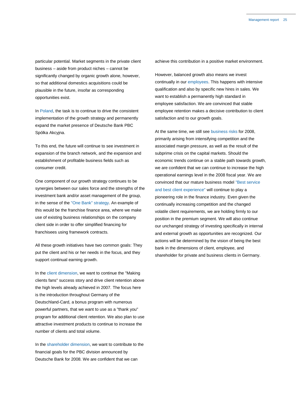particular potential. Market segments in the private client business – aside from product niches – cannot be significantly changed by organic growth alone, however, so that additional domestics acquisitions could be plausible in the future, insofar as corresponding opportunities exist.

In Poland, the task is to continue to drive the consistent implementation of the growth strategy and permanently expand the market presence of Deutsche Bank PBC Spólka Akcyjna.

To this end, the future will continue to see investment in expansion of the branch network, and the expansion and establishment of profitable business fields such as consumer credit.

One component of our growth strategy continues to be synergies between our sales force and the strengths of the investment bank and/or asset management of the group, in the sense of the "One Bank" strategy. An example of this would be the franchise finance area, where we make use of existing business relationships on the company client side in order to offer simplified financing for franchisees using framework contracts.

All these growth initiatives have two common goals: They put the client and his or her needs in the focus, and they support continual earning growth.

In the client dimension, we want to continue the "Making clients fans" success story and drive client retention above the high levels already achieved in 2007. The focus here is the introduction throughout Germany of the Deutschland-Card, a bonus program with numerous powerful partners, that we want to use as a "thank you" program for additional client retention. We also plan to use attractive investment products to continue to increase the number of clients and total volume.

In the shareholder dimension, we want to contribute to the financial goals for the PBC division announced by Deutsche Bank for 2008. We are confident that we can

achieve this contribution in a positive market environment.

However, balanced growth also means we invest continually in our employees. This happens with intensive qualification and also by specific new hires in sales. We want to establish a permanently high standard in employee satisfaction. We are convinced that stable employee retention makes a decisive contribution to client satisfaction and to our growth goals.

At the same time, we still see business risks for 2008, primarily arising from intensifying competition and the associated margin pressure, as well as the result of the subprime crisis on the capital markets. Should the economic trends continue on a stable path towards growth, we are confident that we can continue to increase the high operational earnings level in the 2008 fiscal year. We are convinced that our mature business model "Best service and best client experience" will continue to play a pioneering role in the finance industry. Even given the continually increasing competition and the changed volatile client requirements, we are holding firmly to our position in the premium segment. We will also continue our unchanged strategy of investing specifically in internal and external growth as opportunities are recognized. Our actions will be determined by the vision of being the best bank in the dimensions of client, employee, and shareholder for private and business clients in Germany.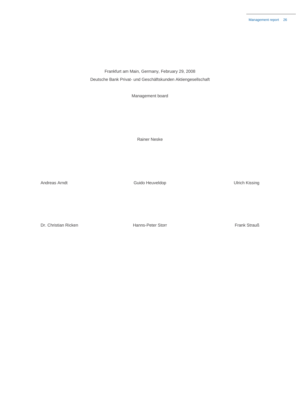Frankfurt am Main, Germany, February 29, 2008 Deutsche Bank Privat- und Geschäftskunden Aktiengesellschaft

Management board

Rainer Neske

Andreas Arndt **Andreas Arndt** Cuido Heuveldop Cuido Heuveldop Cuido Heuveldop Andreas Arndt Cuido Heuveldop

Dr. Christian Ricken **Hanns-Peter Storr** Frank Strauß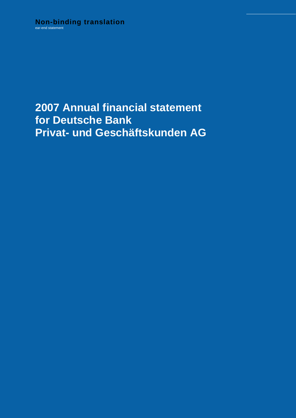# **2007 Annual financial statement for Deutsche Bank Privat- und Geschäftskunden AG**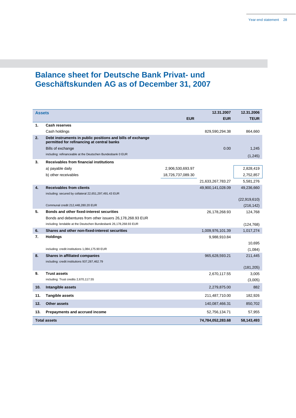# **Balance sheet for Deutsche Bank Privat- und Geschäftskunden AG as of December 31, 2007**

| Assets |                                                                                                          |                   | 12.31.2007        | 12.31.2006   |
|--------|----------------------------------------------------------------------------------------------------------|-------------------|-------------------|--------------|
|        |                                                                                                          | <b>EUR</b>        | <b>EUR</b>        | <b>TEUR</b>  |
| 1.     | <b>Cash reserves</b>                                                                                     |                   |                   |              |
|        | Cash holdings                                                                                            |                   | 829,590,294.38    | 864,660      |
| 2.     | Debt instruments in public positions and bills of exchange<br>permitted for refinancing at central banks |                   |                   |              |
|        | Bills of exchange                                                                                        |                   | 0.00              | 1,245        |
|        | including: refinanceable at the Deutschen Bundesbank 0 EUR                                               |                   |                   | (1, 245)     |
| 3.     | Receivables from financial institutions                                                                  |                   |                   |              |
|        | a) payable daily                                                                                         | 2,906,530,693.97  |                   | 2,828,419    |
|        | b) other receivables                                                                                     | 18,726,737,089.30 |                   | 2,752,857    |
|        |                                                                                                          |                   | 21,633,267,783.27 | 5,581,276    |
| 4.     | <b>Receivables from clients</b>                                                                          |                   | 49,900,141,028.09 | 49,236,660   |
|        | including: secured by collateral 22,651,297,491.43 EUR                                                   |                   |                   |              |
|        |                                                                                                          |                   |                   | (22,919,610) |
|        | Communal credit 212,448,280.20 EUR                                                                       |                   |                   | (216, 142)   |
| 5.     | Bonds and other fixed-interest securities                                                                |                   | 26,178,268.93     | 124,768      |
|        | Bonds and debentures from other issuers 26,178,268.93 EUR                                                |                   |                   |              |
|        | including: lendable at the Deutschen Bundesbank 26,178,268.93 EUR                                        |                   |                   | (124, 768)   |
| 6.     | Shares and other non-fixed-interest securities                                                           |                   | 1,009,976,101.39  | 1,017,274    |
| 7.     | <b>Holdings</b>                                                                                          |                   | 9,988,910.84      |              |
|        |                                                                                                          |                   |                   | 10,695       |
|        | including: credit institutions 1,084,175.90 EUR                                                          |                   |                   | (1,084)      |
| 8.     | Shares in affiliated companies                                                                           |                   | 965,628,593.21    | 211,445      |
|        | including: credit institutions 937,287,462.79                                                            |                   |                   |              |
|        |                                                                                                          |                   |                   | (181, 205)   |
| 9.     | <b>Trust assets</b><br>including: Trust credits 2,670,117.55                                             |                   | 2,670,117.55      | 3,005        |
|        |                                                                                                          |                   |                   | (3,005)      |
| 10.    | Intangible assets                                                                                        |                   | 2,279,875.00      | 882          |
| 11.    | <b>Tangible assets</b>                                                                                   |                   | 211,487,710.00    | 182,926      |
| 12.    | <b>Other assets</b>                                                                                      |                   | 140,087,466.31    | 850,702      |
| 13.    | Prepayments and accrued income                                                                           |                   | 52,756,134.71     | 57,955       |
|        | <b>Total assets</b>                                                                                      |                   | 74,784,052,283.68 | 58,143,493   |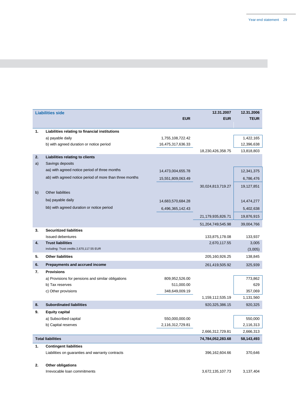| <b>EUR</b><br><b>EUR</b><br><b>TEUR</b><br>1.<br>Liabilities relating to financial institutions<br>1,422,165<br>a) payable daily<br>1,755,108,722.42<br>b) with agreed duration or notice period<br>16,475,317,636.33<br>12,396,638<br>13,818,803<br>18,230,426,358.75<br>2.<br>Liabilities relating to clients<br>a)<br>Savings deposits |
|-------------------------------------------------------------------------------------------------------------------------------------------------------------------------------------------------------------------------------------------------------------------------------------------------------------------------------------------|
|                                                                                                                                                                                                                                                                                                                                           |
|                                                                                                                                                                                                                                                                                                                                           |
|                                                                                                                                                                                                                                                                                                                                           |
|                                                                                                                                                                                                                                                                                                                                           |
|                                                                                                                                                                                                                                                                                                                                           |
|                                                                                                                                                                                                                                                                                                                                           |
|                                                                                                                                                                                                                                                                                                                                           |
|                                                                                                                                                                                                                                                                                                                                           |
| aa) with agreed notice period of three months<br>12,341,375<br>14,473,004,655.78                                                                                                                                                                                                                                                          |
| ab) with agreed notice period of more than three months<br>15,551,809,063.49<br>6,786,476                                                                                                                                                                                                                                                 |
| 19,127,851<br>30,024,813,719.27                                                                                                                                                                                                                                                                                                           |
| <b>Other liabilities</b><br>b)                                                                                                                                                                                                                                                                                                            |
| ba) payable daily<br>14,683,570,684.28<br>14,474,277                                                                                                                                                                                                                                                                                      |
| bb) with agreed duration or notice period<br>6,496,365,142.43<br>5,402,638                                                                                                                                                                                                                                                                |
| 21,179,935,826.71<br>19,876,915                                                                                                                                                                                                                                                                                                           |
| 51,204,749,545.98<br>39,004,766                                                                                                                                                                                                                                                                                                           |
| <b>Securitized liabilities</b><br>3.                                                                                                                                                                                                                                                                                                      |
| <b>Issued debentures</b><br>133,875,178.08<br>133,937                                                                                                                                                                                                                                                                                     |
| 4.<br><b>Trust liabilities</b><br>2,670,117.55<br>3,005                                                                                                                                                                                                                                                                                   |
| including: Trust credits 2,670,117.55 EUR<br>(3,005)                                                                                                                                                                                                                                                                                      |
| <b>Other liabilities</b><br>5.<br>138,845<br>205,160,926.25                                                                                                                                                                                                                                                                               |
| Prepayments and accrued income<br>6.<br>261,419,505.92<br>325,939                                                                                                                                                                                                                                                                         |
| 7.<br><b>Provisions</b>                                                                                                                                                                                                                                                                                                                   |
| 809,952,526.00<br>773,862<br>a) Provisions for pensions and similar obligations                                                                                                                                                                                                                                                           |
| 629<br>b) Tax reserves<br>511,000.00                                                                                                                                                                                                                                                                                                      |
| c) Other provisions<br>348,649,009.19<br>357,069                                                                                                                                                                                                                                                                                          |
| 1,159,112,535.19<br>1,131,560                                                                                                                                                                                                                                                                                                             |
| <b>Subordinated liabilities</b><br>8.<br>920,325<br>920, 325, 386. 15                                                                                                                                                                                                                                                                     |
| 9.<br><b>Equity capital</b>                                                                                                                                                                                                                                                                                                               |
| a) Subscribed capital<br>550,000,000.00<br>550,000                                                                                                                                                                                                                                                                                        |
| b) Capital reserves<br>2,116,312,729.81<br>2,116,313                                                                                                                                                                                                                                                                                      |
| 2,666,313<br>2,666,312,729.81                                                                                                                                                                                                                                                                                                             |
| <b>Total liabilities</b><br>74,784,052,283.68<br>58,143,493                                                                                                                                                                                                                                                                               |
| 1.<br><b>Contingent liabilities</b>                                                                                                                                                                                                                                                                                                       |
| Liabilities on guaranties and warranty contracts<br>396,162,604.66<br>370,646                                                                                                                                                                                                                                                             |
| 2.<br><b>Other obligations</b>                                                                                                                                                                                                                                                                                                            |

Irrevocable loan commitments 3,672,135,107.73 3,137,404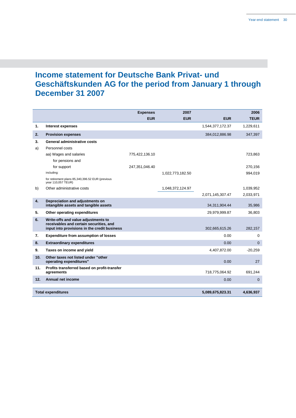# **Income statement for Deutsche Bank Privat- und Geschäftskunden AG for the period from January 1 through December 31 2007**

|     |                                                                                                                                | <b>Expenses</b> | 2007             |                  | 2006         |
|-----|--------------------------------------------------------------------------------------------------------------------------------|-----------------|------------------|------------------|--------------|
|     |                                                                                                                                | <b>EUR</b>      | <b>EUR</b>       | <b>EUR</b>       | <b>TEUR</b>  |
| 1.  | Interest expenses                                                                                                              |                 |                  | 1,544,377,172.37 | 1,229,611    |
| 2.  | <b>Provision expenses</b>                                                                                                      |                 |                  | 384,012,886.98   | 347,397      |
| 3.  | <b>General administrative costs</b>                                                                                            |                 |                  |                  |              |
| a)  | Personnel costs                                                                                                                |                 |                  |                  |              |
|     | aa) Wages and salaries                                                                                                         | 775,422,136.10  |                  |                  | 723,863      |
|     | for pensions and                                                                                                               |                 |                  |                  |              |
|     | for support                                                                                                                    | 247,351,046.40  |                  |                  | 270,156      |
|     | including:                                                                                                                     |                 | 1,022,773,182.50 |                  | 994,019      |
|     | for retirement plans 85,340,396.52 EUR (previous<br>year 110,057 TEUR)                                                         |                 |                  |                  |              |
| b)  | Other administrative costs                                                                                                     |                 | 1,048,372,124.97 |                  | 1,039,952    |
|     |                                                                                                                                |                 |                  | 2,071,145,307.47 | 2,033,971    |
| 4.  | Depreciation and adjustments on<br>intangible assets and tangible assets                                                       |                 |                  | 34,311,904.44    | 35,986       |
| 5.  | Other operating expenditures                                                                                                   |                 |                  | 29,979,999.87    | 36,803       |
| 6.  | Write-offs and value adjustments to<br>receivables and certain securities, and<br>input into provisions in the credit business |                 |                  | 302,665,615.26   | 282,157      |
| 7.  | <b>Expenditure from assumption of losses</b>                                                                                   |                 |                  | 0.00             | 0            |
| 8.  | <b>Extraordinary expenditures</b>                                                                                              |                 |                  | 0.00             | $\mathbf{0}$ |
| 9.  | Taxes on income and yield                                                                                                      |                 |                  | 4,407,872.00     | $-20.259$    |
| 10. | Other taxes not listed under "other<br>operating expenditures"                                                                 |                 |                  | 0.00             | 27           |
| 11. | Profits transferred based on profit-transfer<br>agreements                                                                     |                 |                  | 718,775,064.92   | 691,244      |
| 12. | <b>Annual net income</b>                                                                                                       |                 |                  | 0.00             | $\mathbf{0}$ |
|     |                                                                                                                                |                 |                  |                  |              |
|     | <b>Total expenditures</b>                                                                                                      |                 |                  | 5,089,675,823.31 | 4,636,937    |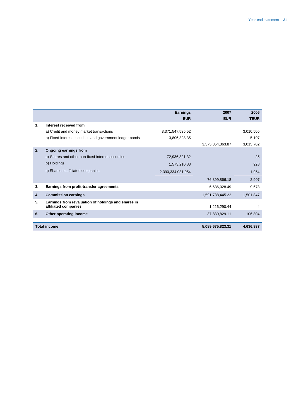|    |                                                                             | <b>Earnings</b>   | 2007             | 2006        |
|----|-----------------------------------------------------------------------------|-------------------|------------------|-------------|
|    |                                                                             | <b>EUR</b>        | <b>EUR</b>       | <b>TEUR</b> |
| 1. | Interest received from                                                      |                   |                  |             |
|    | a) Credit and money market transactions                                     | 3,371,547,535.52  |                  | 3,010,505   |
|    | b) Fixed-interest securities and government ledger bonds                    | 3,806,828.35      |                  | 5,197       |
|    |                                                                             |                   | 3,375,354,363.87 | 3,015,702   |
| 2. | Ongoing earnings from                                                       |                   |                  |             |
|    | a) Shares and other non-fixed-interest securities                           | 72,936,321.32     |                  | 25          |
|    | b) Holdings                                                                 | 1,573,210.83      |                  | 928         |
|    | c) Shares in affiliated companies                                           | 2,390,334.031,954 |                  | 1,954       |
|    |                                                                             |                   | 76,899,866.18    | 2,907       |
| 3. | Earnings from profit-transfer agreements                                    |                   | 6,636,028.49     | 9,673       |
| 4. | <b>Commission earnings</b>                                                  |                   | 1,591,738,445.22 | 1,501,847   |
| 5. | Earnings from revaluation of holdings and shares in<br>affiliated companies |                   | 1,216,290.44     | 4           |
| 6. | Other operating income                                                      |                   | 37,830,829.11    | 106,804     |
|    |                                                                             |                   |                  |             |
|    | <b>Total income</b>                                                         |                   | 5,089,675,823.31 | 4,636,937   |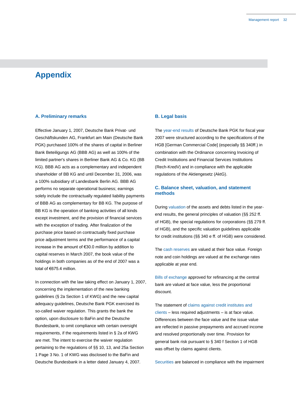# **Appendix**

# **A. Preliminary remarks**

Effective January 1, 2007, Deutsche Bank Privat- und Geschäftskunden AG, Frankfurt am Main (Deutsche Bank PGK) purchased 100% of the shares of capital in Berliner Bank Beteiligungs AG (BBB AG) as well as 100% of the limited partner's shares in Berliner Bank AG & Co. KG (BB KG). BBB AG acts as a complementary and independent shareholder of BB KG and until December 31, 2006, was a 100% subsidiary of Landesbank Berlin AG. BBB AG performs no separate operational business; earnings solely include the contractually regulated liability payments of BBB AG as complementary for BB KG. The purpose of BB KG is the operation of banking activities of all kinds except investment, and the provision of financial services with the exception of trading. After finalization of the purchase price based on contractually fixed purchase price adjustment terms and the performance of a capital increase in the amount of €30.0 million by addition to capital reserves in March 2007, the book value of the holdings in both companies as of the end of 2007 was a total of €675.4 million.

In connection with the law taking effect on January 1, 2007, concerning the implementation of the new banking guidelines (§ 2a Section 1 of KWG) and the new capital adequacy guidelines, Deutsche Bank PGK exercised its so-called waiver regulation. This grants the bank the option, upon disclosure to BaFin and the Deutsche Bundesbank, to omit compliance with certain oversight requirements, if the requirements listed in § 2a of KWG are met. The intent to exercise the waiver regulation pertaining to the regulations of §§ 10, 13, and 25a Section 1 Page 3 No. 1 of KWG was disclosed to the BaFin and Deutsche Bundesbank in a letter dated January 4, 2007.

# **B. Legal basis**

The year-end results of Deutsche Bank PGK for fiscal year 2007 were structured according to the specifications of the HGB [German Commercial Code] (especially §§ 340ff.) in combination with the Ordinance concerning Invoicing of Credit Institutions and Financial Services Institutions (Rech-KredV) and in compliance with the applicable regulations of the Aktiengesetz (AktG).

# **C. Balance sheet, valuation, and statement methods**

During valuation of the assets and debts listed in the yearend results, the general principles of valuation (§§ 252 ff. of HGB), the special regulations for corporations (§§ 279 ff. of HGB), and the specific valuation guidelines applicable for credit institutions (§§ 340 e ff. of HGB) were considered.

The cash reserves are valued at their face value. Foreign note and coin holdings are valued at the exchange rates applicable at year end.

Bills of exchange approved for refinancing at the central bank are valued at face value, less the proportional discount.

The statement of claims against credit institutes and clients – less required adjustments – is at face value. Differences between the face value and the issue value are reflected in passive prepayments and accrued income and resolved proportionally over time. Provision for general bank risk pursuant to § 340 f Section 1 of HGB was offset by claims against clients.

Securities are balanced in compliance with the impairment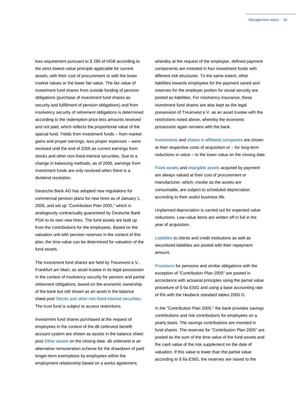loss requirement pursuant to § 280 of HGB according to the strict lowest-value principle applicable for current assets, with their cost of procurement or with the lower market values or the lower fair value. The fair value of investment fund shares from outside funding of pension obligations (purchase of investment fund shares as security and fulfillment of pension obligations) and from insolvency security of retirement obligations is determined according to the redemption price less amounts received and not paid, which reflects the proportional value of the special fund. Yields from investment funds – from market gains and proper earnings, less proper expenses – were received until the end of 2005 as current earnings from stocks and other non-fixed-interest securities. Due to a change in balancing methods, as of 2006, earnings from investment funds are only received when there is a dividend resolution.

Deutsche Bank AG has adopted new regulations for commercial pension plans for new hires as of January 1, 2005, and set up "Contribution Plan 2005," which is analogously contractually guaranteed by Deutsche Bank PGK to its own new hires. The fund assets are built up from the contributions for the employees. Based on the valuation unit with pension reserves in the context of this plan, the time value can be determined for valuation of the fund assets.

The investment fund shares are held by Treuinvest e.V., Frankfurt am Main, as asset trustee in its legal possession in the context of insolvency security for pension and partial retirement obligations, based on the economic ownership of the bank but still shown as an asset in the balance sheet post Stocks and other non-fixed-interest securities. The trust fund is subject to access restrictions.

Investment fund shares purchased at the request of employees in the context of the db zeitinvest benefit account system are shown as assets in the balance sheet post Other assets on the closing date. db zeitinvest is an alternative remuneration scheme for the drawdown of paid longer-term exemptions by employees within the employment relationship based on a works agreement,

whereby at the request of the employee, defined payment components are invested in four investment funds with different risk structures. To the same extent, other liabilities towards employees for the payment saved and reserves for the employer portion for social security are posted as liabilities. For insolvency insurance, these investment fund shares are also kept as the legal possession of Treuinvest e.V. as an asset trustee with the restrictions noted above, whereby the economic possession again remains with the bank.

Investments and shares in affiliated companies are shown at their respective costs of acquisition or – for long-term reductions in value – to the lower value on the closing date.

Fixed assets and intangible assets acquired by payment are always valued at their cost of procurement or manufacturer, which, insofar as the assets are consumable, are subject to scheduled depreciation according to their useful business life.

Unplanned depreciation is carried out for expected value reductions. Low-value items are written off in full in the year of acquisition.

Liabilities to clients and credit institutions as well as securitized liabilities are posted with their repayment amount.

Provisions for pensions and similar obligations with the exception of "Contribution Plan 2005" are posted in accordance with actuarial principles using the partial value procedure of § 6a EStG and using a base accounting rate of 6% with the Heubeck standard tables 2005 G.

In the "Contribution Plan 2005," the bank provides savings contributions and risk contributions for employees on a yearly basis. The savings contributions are invested in fund shares. The reserves for "Contribution Plan 2005" are posted as the sum of the time value of the fund assets and the cash value of the risk supplement on the date of valuation. If this value is lower than the partial value according to § 6a EStG, the reserves are raised to the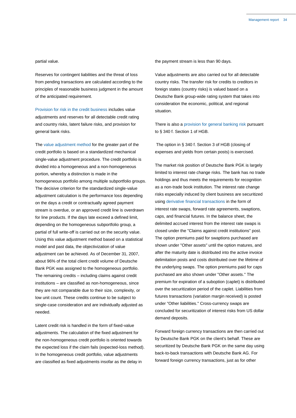#### partial value.

Reserves for contingent liabilities and the threat of loss from pending transactions are calculated according to the principles of reasonable business judgment in the amount of the anticipated requirement.

Provision for risk in the credit business includes value adjustments and reserves for all detectable credit rating and country risks, latent failure risks, and provision for general bank risks.

The value adjustment method for the greater part of the credit portfolio is based on a standardized mechanical single-value adjustment procedure. The credit portfolio is divided into a homogeneous and a non-homogeneous portion, whereby a distinction is made in the homogeneous portfolio among multiple subportfolio groups. The decisive criterion for the standardized single-value adjustment calculation is the performance loss depending on the days a credit or contractually agreed payment stream is overdue, or an approved credit line is overdrawn for line products. If the days late exceed a defined limit, depending on the homogeneous subportfolio group, a partial of full write-off is carried out on the security value. Using this value adjustment method based on a statistical model and past data, the objectivization of value adjustment can be achieved. As of December 31, 2007, about 96% of the total client credit volume of Deutsche Bank PGK was assigned to the homogeneous portfolio. The remaining credits – including claims against credit institutions – are classified as non-homogeneous, since they are not comparable due to their size, complexity, or low unit count. These credits continue to be subject to single-case consideration and are individually adjusted as needed.

Latent credit risk is handled in the form of fixed-value adjustments. The calculation of the fixed adjustment for the non-homogeneous credit portfolio is oriented towards the expected loss if the claim fails (expected-loss method). In the homogeneous credit portfolio, value adjustments are classified as fixed adjustments insofar as the delay in

the payment stream is less than 90 days.

Value adjustments are also carried out for all detectable country risks. The transfer risk for credits to creditors in foreign states (country risks) is valued based on a Deutsche Bank group-wide rating system that takes into consideration the economic, political, and regional situation.

There is also a provision for general banking risk pursuant to § 340 f. Section 1 of HGB.

The option in § 340 f. Section 3 of HGB (closing of expenses and yields from certain posts) is exercised.

The market risk position of Deutsche Bank PGK is largely limited to interest rate change risks. The bank has no trade holdings and thus meets the requirements for recognition as a non-trade book institution. The interest rate change risks especially induced by client business are securitized using derivative financial transactions in the form of interest rate swaps, forward rate agreements, swaptions, caps, and financial futures. In the balance sheet, the delimited accrued interest from the interest rate swaps is closed under the "Claims against credit institutions" post. The option premiums paid for swaptions purchased are shown under "Other assets" until the option matures, and after the maturity date is distributed into the active invoice delimitation posts and costs distributed over the lifetime of the underlying swaps. The option premiums paid for caps purchased are also shown under "Other assets." The premium for expiration of a suboption (caplet) is distributed over the securitization period of the caplet. Liabilities from futures transactions (variation margin received) is posted under "Other liabilities." Cross-currency swaps are concluded for securitization of interest risks from US dollar demand deposits.

Forward foreign currency transactions are then carried out by Deutsche Bank PGK on the client's behalf. These are securitized by Deutsche Bank PGK on the same day using back-to-back transactions with Deutsche Bank AG. For forward foreign currency transactions, just as for other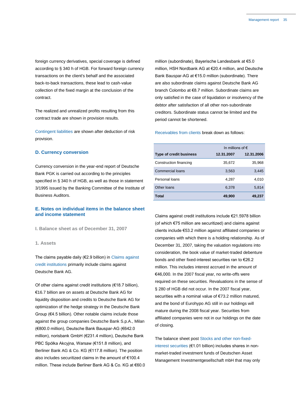foreign currency derivatives, special coverage is defined according to § 340 h of HGB. For forward foreign currency transactions on the client's behalf and the associated back-to-back transactions, these lead to cash-value collection of the fixed margin at the conclusion of the contract.

The realized and unrealized profits resulting from this contract trade are shown in provision results.

Contingent liabilities are shown after deduction of risk provision.

## **D. Currency conversion**

Currency conversion in the year-end report of Deutsche Bank PGK is carried out according to the principles specified in § 340 h of HGB, as well as those in statement 3/1995 issued by the Banking Committee of the Institute of Business Auditors.

# **E. Notes on individual items in the balance sheet and income statement**

**I. Balance sheet as of December 31, 2007**

**1. Assets**

The claims payable daily (€2.9 billion) in Claims against credit institutions primarily include claims against Deutsche Bank AG.

Of other claims against credit institutions (€18.7 billion), €16.7 billion are on assets at Deutsche Bank AG for liquidity disposition and credits to Deutsche Bank AG for optimization of the hedge strategy in the Deutsche Bank Group (€4.5 billion). Other notable claims include those against the group companies Deutsche Bank S.p.A., Milan (€800.0 million), Deutsche Bank Bauspar-AG (€642.0 million), norisbank GmbH (€231.4 million), Deutsche Bank PBC Spólka Akcyjna, Warsaw (€151.8 million), and Berliner Bank AG & Co. KG (€117.8 million). The position also includes securitized claims in the amount of €100.4 million. These include Berliner Bank AG & Co. KG at €60.0 million (subordinate), Bayerische Landesbank at €5.0 million, HSH Nordbank AG at €20.4 million, and Deutsche Bank Bauspar-AG at €15.0 million (subordinate). There are also subordinate claims against Deutsche Bank AG branch Colombo at €8.7 million. Subordinate claims are only satisfied in the case of liquidation or insolvency of the debtor after satisfaction of all other non-subordinate creditors. Subordinate status cannot be limited and the period cannot be shortened.

Receivables from clients break down as follows:

|                                | In millions of $\epsilon$ |            |  |
|--------------------------------|---------------------------|------------|--|
| <b>Type of credit business</b> | 12.31.2007                | 12.31.2006 |  |
| Construction financing         | 35,672                    | 35,968     |  |
| Commercial loans               | 3,563                     | 3,445      |  |
| Personal loans                 | 4,287                     | 4,010      |  |
| Other loans                    | 6,378                     | 5,814      |  |
| Total                          | 49,900                    | 49,237     |  |

Claims against credit institutions include €21.5978 billion (of which €75 million are securitized) and claims against clients include €53.2 million against affiliated companies or companies with which there is a holding relationship. As of December 31, 2007, taking the valuation regulations into consideration, the book value of market-traded debenture bonds and other fixed-interest securities ran to €26.2 million. This includes interest accrued in the amount of €46,000. In the 2007 fiscal year, no write-offs were required on these securities. Revaluations in the sense of § 280 of HGB did not occur. In the 2007 fiscal year, securities with a nominal value of €73.2 million matured, and the bond of Eurohypo AG still in our holdings will mature during the 2008 fiscal year. Securities from affiliated companies were not in our holdings on the date of closing.

The balance sheet post Stocks and other non-fixedinterest securities (€1.01 billion) includes shares in nonmarket-traded investment funds of Deutschen Asset Management Investmentgesellschaft mbH that may only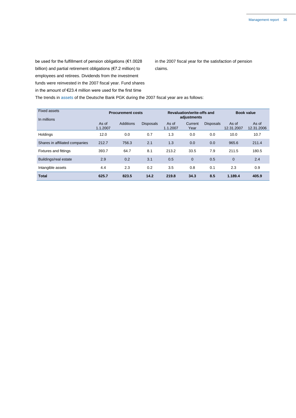be used for the fulfillment of pension obligations (€1.0028 billion) and partial retirement obligations (€7.2 million) to employees and retirees. Dividends from the investment funds were reinvested in the 2007 fiscal year. Fund shares in the amount of  $\epsilon$ 23.4 million were used for the first time

in the 2007 fiscal year for the satisfaction of pension claims.

The trends in assets of the Deutsche Bank PGK during the 2007 fiscal year are as follows:

| <b>Fixed assets</b><br>In millions | <b>Procurement costs</b> |           | Revaluation/write-offs and<br>adjustments |                   |                 | <b>Book value</b> |                     |                     |
|------------------------------------|--------------------------|-----------|-------------------------------------------|-------------------|-----------------|-------------------|---------------------|---------------------|
|                                    | As of<br>1.1.2007        | Additions | <b>Disposals</b>                          | As of<br>1.1.2007 | Current<br>Year | <b>Disposals</b>  | As of<br>12.31.2007 | As of<br>12.31.2006 |
| Holdings                           | 12.0                     | 0.0       | 0.7                                       | 1.3               | 0.0             | 0.0               | 10.0                | 10.7                |
| Shares in affiliated companies     | 212.7                    | 756.3     | 2.1                                       | 1.3               | 0.0             | 0.0               | 965.6               | 211.4               |
| <b>Fixtures and fittings</b>       | 393.7                    | 64.7      | 8.1                                       | 213.2             | 33.5            | 7.9               | 211.5               | 180.5               |
| Buildings/real estate              | 2.9                      | 0.2       | 3.1                                       | 0.5               | $\overline{0}$  | 0.5               | $\overline{0}$      | 2.4                 |
| Intangible assets                  | 4.4                      | 2.3       | 0.2                                       | 3.5               | 0.8             | 0.1               | 2.3                 | 0.9                 |
| <b>Total</b>                       | 625.7                    | 823.5     | 14.2                                      | 219.8             | 34.3            | 8.5               | 1.189.4             | 405.9               |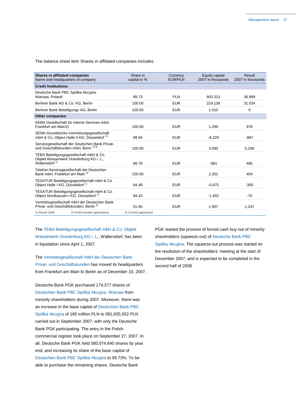The balance sheet item Shares in affiliated companies includes:

| <b>Shares in affiliated companies</b><br>Name and headquarters of company                                       | Share in<br>capital in % | Currency<br><b>EUR/PLN</b> | Equity capital<br>2007 in thousands | Result<br>2007 in thousands |
|-----------------------------------------------------------------------------------------------------------------|--------------------------|----------------------------|-------------------------------------|-----------------------------|
| <b>Credit Institutions:</b>                                                                                     |                          |                            |                                     |                             |
| Deutsche Bank PBC Spólka Akcyina,<br>Warsaw, Poland                                                             | 99.73                    | <b>PLN</b>                 | 803.313                             | 36.999                      |
| Berliner Bank AG & Co. KG, Berlin                                                                               | 100.00                   | <b>EUR</b>                 | 224.136                             | 31.034                      |
| Berliner Bank Beteiligungs AG, Berlin                                                                           | 100.00                   | <b>EUR</b>                 | 1.010                               | 9                           |
| <b>Other companies:</b>                                                                                         |                          |                            |                                     |                             |
| KEBA Gesellschaft für interne Services mbH.<br>Frankfurt am Main2)                                              | 100.00                   | <b>EUR</b>                 | 1.299                               | 976                         |
| SENA Grundstücks-Vermietungsgesellschaft<br>mbH & Co. Object Halle II KG, Düsseldorf <sup>1)</sup>              | 99.94                    | <b>EUR</b>                 | $-8,229$                            | $-887$                      |
| Servicegesellschaft der Deutschen Bank Privat-<br>und Geschäftskunden mbH. Bonn <sup>2) 3)</sup>                | 100.00                   | <b>EUR</b>                 | 3,093                               | 5,206                       |
| TEBA Beteiligungsgesellschaft mbH & Co.<br>Objekt Wasserwerk Oranienburg KG i. L.,<br>Waltersdorf <sup>1)</sup> | 99.79                    | <b>EUR</b>                 | $-981$                              | 485                         |
| Telefon-Servicegesellschaft der Deutschen<br>Bank mbH, Frankfurt am Main <sup>2)</sup>                          | 100.00                   | <b>EUR</b>                 | 2,301                               | 454                         |
| TESATUR Beteiligungsgesellschaft mbH & Co.<br>Obiect Halle I KG. Düsseldorf <sup>1)</sup>                       | 94.48                    | <b>EUR</b>                 | $-5,675$                            | $-300$                      |
| TESATUR Beteiligungsgesellschaft mbH & Co.<br>Obiect Nordhausen I KG. Düsseldorf <sup>1)</sup>                  | 94.43                    | <b>EUR</b>                 | $-1,402$                            | $-70$                       |
| Vertriebsgesellschaft mbH der Deutschen Bank<br>Privat- und Geschäftskunden, Berlin <sup>1)</sup>               | 51.00                    | <b>EUR</b>                 | 1,907                               | 1,247                       |
| 2) Profit-transfer agreements<br>1) Result 2006                                                                 | 3) Control agreement     |                            |                                     |                             |

The TEBA Beteiligungsgesellschaft mbH & Co. Objekt Wasserwerk Oranienburg KG i. L., Waltersdorf, has been in liquidation since April 1, 2007.

The Vertriebsgesellschaft mbH der Deutschen Bank Privat- und Geschäftskunden has moved its headquarters from Frankfurt am Main to Berlin as of December 10, 2007.

Deutsche Bank PGK purchased 174,377 shares of Deutschen Bank PBC Spólka Akcyjna, Warsaw from minority shareholders during 2007. Moreover, there was an increase in the base capital of Deutschen Bank PBC Spólka Akcyjna of 185 million PLN to 581,655,552 PLN carried out in September 2007, with only the Deutsche Bank PGK participating. The entry in the Polish commercial register took place on September 27, 2007. In all, Deutsche Bank PGK held 580,074,640 shares by year end, and increasing its share of the base capital of Deutschen Bank PBC Spólka Akcyjna to 99.73%. To be able to purchase the remaining shares, Deutsche Bank

PGK started the process of forced cash buy-out of minority shareholders (squeeze-out) of Deutsche Bank PBC Spólka Akcyjna. The squeeze-out process was started on the resolution of the shareholders' meeting at the start of December 2007, and is expected to be completed in the second half of 2008.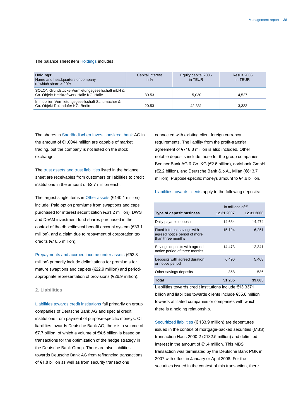The balance sheet item Holdings includes:

| Holdings:<br>Name and headquarters of company<br>of which share $> 20\%$                    | Capital interest<br>in $%$ | Equity capital 2006<br>in TEUR | Result 2006<br>in TEUR |
|---------------------------------------------------------------------------------------------|----------------------------|--------------------------------|------------------------|
| SOLON Grundstücks-Vermietungsgesellschaft mbH &<br>Co. Objekt Heizkraftwerk Halle KG, Halle | 30.53                      | $-5.030$                       | 4.527                  |
| Immobilien-Vermietungsgesellschaft Schumacher &<br>Co. Objekt Rolandufer KG, Berlin         | 20.53                      | 42.331                         | 3.333                  |

The shares in Saarländischen Investitionskreditbank AG in the amount of €1.0044 million are capable of market trading, but the company is not listed on the stock exchange.

The trust assets and trust liabilities listed in the balance sheet are receivables from customers or liabilities to credit institutions in the amount of €2.7 million each.

The largest single items in Other assets (€140.1 million) include: Paid option premiums from swaptions and caps purchased for interest securitization (€61.2 million), DWS and DeAM investment fund shares purchased in the context of the db zeitinvest benefit account system (€33.1 million), and a claim due to repayment of corporation tax credits (€16.5 million).

Prepayments and accrued income under assets (€52.8 million) primarily include delimitations for premiums for mature swaptions and caplets (€22.9 million) and periodappropriate representation of provisions (€26.9 million).

# **2. Liabilities**

Liabilities towards credit institutions fall primarily on group companies of Deutsche Bank AG and special credit institutions from payment of purpose-specific moneys. Of liabilities towards Deutsche Bank AG, there is a volume of €7.7 billion, of which a volume of €4.5 billion is based on transactions for the optimization of the hedge strategy in the Deutsche Bank Group. There are also liabilities towards Deutsche Bank AG from refinancing transactions of €1.8 billion as well as from security transactions

connected with existing client foreign currency requirements. The liability from the profit-transfer agreement of €718.8 million is also included. Other notable deposits include those for the group companies Berliner Bank AG & Co. KG (€2.6 billion), norisbank GmbH (€2.2 billion), and Deutsche Bank S.p.A., Milan (€813.7 million). Purpose-specific moneys amount to €4.6 billion.

Liabilities towards clients apply to the following deposits:

|                                                                                                                                                                                                                                | In millions of $\epsilon$ |            |  |
|--------------------------------------------------------------------------------------------------------------------------------------------------------------------------------------------------------------------------------|---------------------------|------------|--|
| <b>Type of deposit business</b>                                                                                                                                                                                                | 12.31.2007                | 12.31.2006 |  |
| Daily payable deposits                                                                                                                                                                                                         | 14,684                    | 14,474     |  |
| Fixed-interest savings with<br>agreed notice period of more<br>than three months                                                                                                                                               | 15,194                    | 6,251      |  |
| Savings deposits with agreed<br>notice period of three months                                                                                                                                                                  | 14,473                    | 12,341     |  |
| Deposits with agreed duration<br>or notice period                                                                                                                                                                              | 6,496                     | 5,403      |  |
| Other savings deposits                                                                                                                                                                                                         | 358                       | 536        |  |
| <b>Total</b>                                                                                                                                                                                                                   | 51,205                    | 39,005     |  |
| The Little contract of the second contract of the second contract of the contract of the contract of the contract of the contract of the contract of the contract of the contract of the contract of the contract of the contr |                           |            |  |

Liabilities towards credit institutions include €13.3371 billion and liabilities towards clients include €35.8 million towards affiliated companies or companies with which there is a holding relationship.

Securitized liabilities (€ 133.9 million) are debentures issued in the context of mortgage-backed securities (MBS) transaction Haus 2000-2 (€132.5 million) and delimited interest in the amount of €1.4 million. This MBS transaction was terminated by the Deutsche Bank PGK in 2007 with effect in January or April 2008. For the securities issued in the context of this transaction, there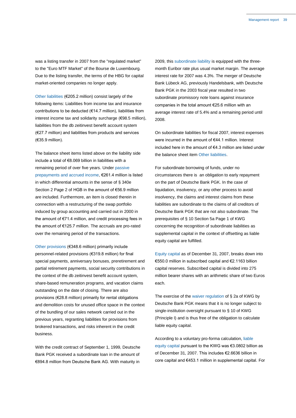was a listing transfer in 2007 from the "regulated market" to the "Euro MTF Market" of the Bourse de Luxembourg. Due to the listing transfer, the terms of the HBG for capital market-oriented companies no longer apply.

Other liabilities (€205.2 million) consist largely of the following items: Liabilities from income tax and insurance contributions to be deducted (€14.7 million), liabilities from interest income tax and solidarity surcharge (€98.5 million), liabilities from the db zeitinvest benefit account system (€27.7 million) and liabilities from products and services (€35.9 million).

The balance sheet items listed above on the liability side include a total of €8.069 billion in liabilities with a remaining period of over five years. Under passive prepayments and accrued income, €261.4 million is listed in which differential amounts in the sense of § 340e Section 2 Page 2 of HGB in the amount of €56.9 million are included. Furthermore, an item is closed therein in connection with a restructuring of the swap portfolio induced by group accounting and carried out in 2000 in the amount of €71.4 million, and credit processing fees in the amount of €125.7 million. The accruals are pro-rated over the remaining period of the transactions.

Other provisions (€348.6 million) primarily include personnel-related provisions (€319.8 million) for final special payments, anniversary bonuses, preretirement and partial retirement payments, social security contributions in the context of the db zeitinvest benefit account system, share-based remuneration programs, and vacation claims outstanding on the date of closing. There are also provisions (€28.8 million) primarily for rental obligations and demolition costs for unused office space in the context of the bundling of our sales network carried out in the previous years, regranting liabilities for provisions from brokered transactions, and risks inherent in the credit business.

With the credit contract of September 1, 1999, Deutsche Bank PGK received a subordinate loan in the amount of €894.8 million from Deutsche Bank AG. With maturity in

2009, this subordinate liability is equipped with the threemonth Euribor rate plus usual market margin. The average interest rate for 2007 was 4.3%. The merger of Deutsche Bank Lübeck AG, previously Handelsbank, with Deutsche Bank PGK in the 2003 fiscal year resulted in two subordinate promissory note loans against insurance companies in the total amount €25.6 million with an average interest rate of 5.4% and a remaining period until 2008.

On subordinate liabilities for fiscal 2007, interest expenses were incurred in the amount of €44.1 million. Interest included here in the amount of €4.3 million are listed under the balance sheet item Other liabilities.

For subordinate borrowing of funds, under no circumstances there is an obligation to early repayment on the part of Deutsche Bank PGK. In the case of liquidation, insolvency, or any other process to avoid insolvency, the claims and interest claims from these liabilities are subordinate to the claims of all creditors of Deutsche Bank PGK that are not also subordinate. The prerequisites of § 10 Section 5a Page 1 of KWG concerning the recognition of subordinate liabilities as supplemental capital in the context of offsetting as liable equity capital are fulfilled.

Equity capital as of December 31, 2007, breaks down into €550.0 million in subscribed capital and €2.1163 billion capital reserves. Subscribed capital is divided into 275 million bearer shares with an arithmetic share of two Euros each.

The exercise of the waiver regulation of § 2a of KWG by Deutsche Bank PGK means that it is no longer subject to single-institution oversight pursuant to § 10 of KWG (Principle I) and is thus free of the obligation to calculate liable equity capital.

According to a voluntary pro-forma calculation, liable equity capital pursuant to the KWG was €3.0802 billion as of December 31, 2007. This includes €2.6636 billion in core capital and €453.1 million in supplemental capital. For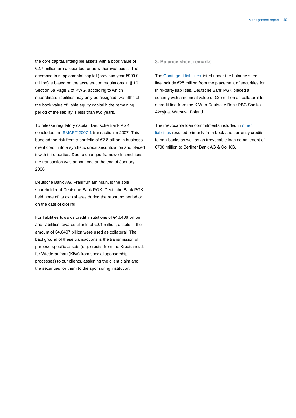the core capital, intangible assets with a book value of €2.7 million are accounted for as withdrawal posts. The decrease in supplemental capital (previous year €990.0 million) is based on the acceleration regulations in § 10 Section 5a Page 2 of KWG, according to which subordinate liabilities may only be assigned two-fifths of the book value of liable equity capital if the remaining period of the liability is less than two years.

To release regulatory capital, Deutsche Bank PGK concluded the SMART 2007-1 transaction in 2007. This bundled the risk from a portfolio of €2.8 billion in business client credit into a synthetic credit securitization and placed it with third parties. Due to changed framework conditions, the transaction was announced at the end of January 2008.

Deutsche Bank AG, Frankfurt am Main, is the sole shareholder of Deutsche Bank PGK. Deutsche Bank PGK held none of its own shares during the reporting period or on the date of closing.

For liabilities towards credit institutions of €4.6406 billion and liabilities towards clients of €0.1 million, assets in the amount of €4.6407 billion were used as collateral. The background of these transactions is the transmission of purpose-specific assets (e.g. credits from the Kreditanstalt für Wiederaufbau (KfW) from special sponsorship processes) to our clients, assigning the client claim and the securities for them to the sponsoring institution.

#### **3. Balance sheet remarks**

The Contingent liabilities listed under the balance sheet line include €25 million from the placement of securities for third-party liabilities. Deutsche Bank PGK placed a security with a nominal value of €25 million as collateral for a credit line from the KfW to Deutsche Bank PBC Spólka Akcyjna, Warsaw, Poland.

The irrevocable loan commitments included in other liabilities resulted primarily from book and currency credits to non-banks as well as an irrevocable loan commitment of €700 million to Berliner Bank AG & Co. KG.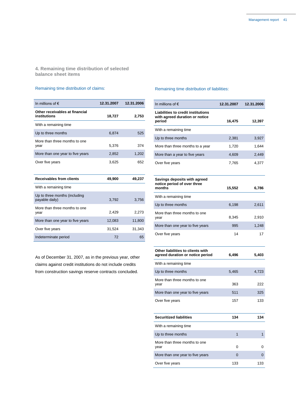**4. Remaining time distribution of selected balance sheet items**

# Remaining time distribution of claims:

| In millions of $\epsilon$                       | 12.31.2007 | 12.31.2006 |
|-------------------------------------------------|------------|------------|
| Other receivables at financial<br>institutions  | 18,727     | 2,753      |
| With a remaining time                           |            |            |
| Up to three months                              | 6.874      | 525        |
| More than three months to one<br>year           | 5,376      | 374        |
| More than one year to five years                | 2,852      | 1,202      |
| Over five years                                 | 3,625      | 652        |
|                                                 |            |            |
| <b>Receivables from clients</b>                 | 49,900     | 49,237     |
| With a remaining time                           |            |            |
| Up to three months (including<br>payable daily) | 3,792      | 3,756      |
| More than three months to one<br>year           | 2,429      | 2,273      |
| More than one year to five years                | 12,083     | 11,800     |
| Over five years                                 | 31,524     | 31,343     |
| Indeterminate period                            | 72         | 65         |

As of December 31, 2007, as in the previous year, other claims against credit institutions do not include credits from construction savings reserve contracts concluded.

# Remaining time distribution of liabilities:

| In millions of $\epsilon$                                                             | 12.31.2007 | 12.31.2006 |
|---------------------------------------------------------------------------------------|------------|------------|
| <b>Liabilities to credit institutions</b><br>with agreed duration or notice<br>period | 16,475     | 12,397     |
| With a remaining time                                                                 |            |            |
| Up to three months                                                                    | 2,381      | 3,927      |
| More than three months to a year                                                      | 1,720      | 1,644      |
| More than a year to five years                                                        | 4,609      | 2,449      |
| Over five years                                                                       | 7,765      | 4,377      |
| Savings deposits with agreed<br>notice period of over three<br>months                 | 15,552     | 6,786      |
| With a remaining time                                                                 |            |            |
| Up to three months                                                                    | 6,198      | 2,611      |
| More than three months to one<br>year                                                 | 8,345      | 2,910      |
| More than one year to five years                                                      | 995        | 1,248      |
| Over five years                                                                       | 14         | 17         |
| Other liabilities to clients with<br>agreed duration or notice period                 | 6,496      | 5,403      |
| With a remaining time                                                                 |            |            |
| Up to three months                                                                    | 5,465      | 4,723      |
| More than three months to one<br>year                                                 | 363        | 222        |
| More than one year to five years                                                      | 511        | 325        |
| Over five years                                                                       | 157        | 133        |
| <b>Securitized liabilities</b>                                                        | 134        | 134        |
| With a remaining time                                                                 |            |            |
| Up to three months                                                                    | 1          | 1          |
| More than three months to one<br>year                                                 | 0          | 0          |
| More than one year to five years                                                      | 0          | 0          |
| Over five years                                                                       | 133        | 133        |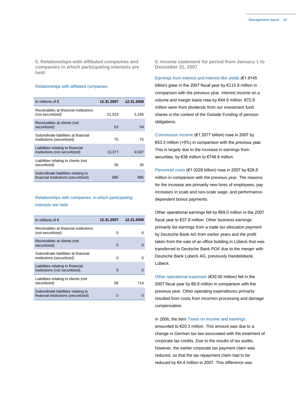**5. Relationships with affiliated companies and companies in which participating interests are held**

#### Relationships with affiliated companies

| In millions of $\epsilon$                                                   | 12.31.2007 | 12.31.2006 |
|-----------------------------------------------------------------------------|------------|------------|
| Receivables at financial institutions<br>(not securitized)                  | 21,523     | 5,245      |
| Receivables at clients (not<br>securitized)                                 | 53         | 54         |
| Subordinate liabilities at financial<br>institutions (securitized)          | 75         | 75         |
| Liabilities relating to financial<br>institutions (not securitized)         | 13,377     | 9,537      |
| Liabilities relating to clients (not<br>securitized)                        | 36         | 30         |
| Subordinate liabilities relating to<br>financial institutions (securitized) | 895        | 895        |

#### Relationships with companies, in which participating

#### interests are held

| In millions of $\epsilon$                                                   | 12.31.2007 | 12.31.2006 |
|-----------------------------------------------------------------------------|------------|------------|
| Receivables at financial institutions<br>(not securitized)                  | U          |            |
| Receivables at clients (not<br>securitized)                                 | $\Omega$   |            |
| Subordinate liabilities at financial<br>institutions (securitized)          | 0          | O          |
| Liabilities relating to financial<br>institutions (not securitized)         | O          |            |
| Liabilities relating to clients (not<br>securitized)                        | 58         | 714        |
| Subordinate liabilities relating to<br>financial institutions (securitized) | O          |            |

**II. Income statement for period from January 1 to December 31, 2007**

Earnings from interest and interest-like yields (€1.9145 billion) grew in the 2007 fiscal year by €115.8 million in comparison with the previous year. Interest income on a volume and margin basis rose by €44.9 million. €72.9 million were from dividends from our investment fund shares in the context of the Outside Funding of pension obligations.

Commission income (€1.2077 billion) rose in 2007 by €53.3 million (+5%) in comparison with the previous year. This is largely due to the increase in earnings from securities, by €38 million to €748.8 million.

Personnel costs (€1.0228 billion) rose in 2007 by €28.8 million in comparison with the previous year. The reasons for the increase are primarily new hires of employees, pay increases in scale and non-scale wage, and performancedependent bonus payments.

Other operational earnings fell by €69.0 million in the 2007 fiscal year to €37.8 million. Other business earnings primarily list earnings from a trade tax allocation payment by Deutsche Bank AG from earlier years and the profit taken from the sale of an office building in Lübeck that was transferred to Deutsche Bank PGK due to the merger with Deutsche Bank Lübeck AG, previously Handelsbank, Lübeck.

Other operational expenses (€30.00 million) fell in the 2007 fiscal year by €6.8 million in comparison with the previous year. Other operating expenditures primarily resulted from costs from incorrect processing and damage compensation.

In 2006, the item Taxes on income and earnings

amounted to €20.3 million. This amount was due to a change in German tax law associated with the treatment of corporate tax credits. Due to the results of tax audits, however, the earlier corporate tax payment claim was reduced, so that the tax repayment claim had to be reduced by €4.4 million in 2007. This difference was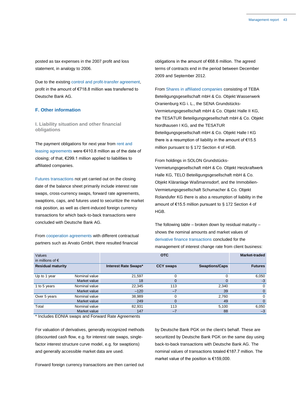posted as tax expenses in the 2007 profit and loss statement, in analogy to 2006.

Due to the existing control and profit-transfer agreement, profit in the amount of €718.8 million was transferred to Deutsche Bank AG.

#### **F. Other information**

**I. Liability situation and other financial obligations**

The payment obligations for next year from rent and leasing agreements were €410.8 million as of the date of closing; of that, €299.1 million applied to liabilities to affiliated companies.

Futures transactions not yet carried out on the closing date of the balance sheet primarily include interest rate swaps, cross-currency swaps, forward rate agreements, swaptions, caps, and futures used to securitize the market risk position, as well as client-induced foreign currency transactions for which back-to-back transactions were concluded with Deutsche Bank AG.

From cooperation agreements with different contractual partners such as Arvato GmbH, there resulted financial

obligations in the amount of €68.6 million. The agreed terms of contracts end in the period between December 2009 and September 2012.

From Shares in affiliated companies consisting of TEBA Beteiligungsgesellschaft mbH & Co. Objekt Wasserwerk Oranienburg KG i. L., the SENA Grundstücks-Vermietungsgesellschaft mbH & Co. Objekt Halle II KG, the TESATUR Beteiligungsgesellschaft mbH & Co. Objekt Nordhausen I KG, and the TESATUR Beteiligungsgesellschaft mbH & Co. Objekt Halle I KG there is a resumption of liability in the amount of €15.5 million pursuant to § 172 Section 4 of HGB.

From holdings in SOLON Grundstücks-Vermietungsgesellschaft mbH & Co. Objekt Heizkraftwerk Halle KG, TELO Beteiligungsgesellschaft mbH & Co. Objekt Kläranlage Waßmannsdorf, and the Immobilien-Vermietungsgesellschaft Schumacher & Co. Objekt Rolandufer KG there is also a resumption of liability in the amount of €15.5 million pursuant to § 172 Section 4 of HGB.

The following table – broken down by residual maturity – shows the nominal amounts and market values of derivative finance transactions concluded for the management of interest change rate from client business:

| Values<br>in millions of $\epsilon$ |               |                      | <b>OTC</b>       |                       | Market-traded  |
|-------------------------------------|---------------|----------------------|------------------|-----------------------|----------------|
| <b>Residual maturity</b>            |               | Interest Rate Swaps* | <b>CCY swaps</b> | <b>Swaptions/Caps</b> | <b>Futures</b> |
| Up to 1 year                        | Nominal value | 21,597               | 0                |                       | 6,050          |
|                                     | Market value  | 18                   |                  | 0                     | $-3$           |
| 1 to 5 years                        | Nominal value | 22,345               | 113              | 2,340                 | 0              |
|                                     | Market value  | $-120$               | $-7$             | 39                    | 0              |
| Over 5 years                        | Nominal value | 38,989               | 0                | 2,760                 | 0              |
|                                     | Market value  | 249                  | 0                | 49                    | 0              |
| Total                               | Nominal value | 82,931               | 113              | 5,100                 | 6,050          |
|                                     | Market value  | 147                  | $-7$             | 88                    | $-3$           |

\* Includes EONIA swaps and Forward Rate Agreements

For valuation of derivatives, generally recognized methods (discounted cash flow, e.g. for interest rate swaps, singlefactor interest structure curve model, e.g. for swaptions) and generally accessible market data are used.

Forward foreign currency transactions are then carried out

by Deutsche Bank PGK on the client's behalf. These are securitized by Deutsche Bank PGK on the same day using back-to-back transactions with Deutsche Bank AG. The nominal values of transactions totaled €187.7 million. The market value of the position is €159,000.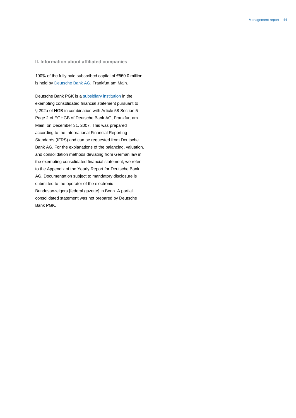# **II. Information about affiliated companies**

100% of the fully paid subscribed capital of €550.0 million is held by Deutsche Bank AG, Frankfurt am Main.

Deutsche Bank PGK is a subsidiary institution in the exempting consolidated financial statement pursuant to § 292a of HGB in combination with Article 58 Section 5 Page 2 of EGHGB of Deutsche Bank AG, Frankfurt am Main, on December 31, 2007. This was prepared according to the International Financial Reporting Standards (IFRS) and can be requested from Deutsche Bank AG. For the explanations of the balancing, valuation, and consolidation methods deviating from German law in the exempting consolidated financial statement, we refer to the Appendix of the Yearly Report for Deutsche Bank AG. Documentation subject to mandatory disclosure is submitted to the operator of the electronic Bundesanzeigers [federal gazette] in Bonn. A partial consolidated statement was not prepared by Deutsche Bank PGK.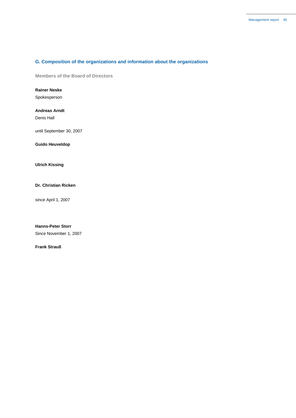# **G. Composition of the organizations and information about the organizations**

**Members of the Board of Directors**

# **Rainer Neske**

Spokesperson

## **Andreas Arndt**

Denis Hall

until September 30, 2007

**Guido Heuveldop**

# **Ulrich Kissing**

# **Dr. Christian Ricken**

since April 1, 2007

# **Hanns-Peter Storr**

Since November 1, 2007

# **Frank Strauß**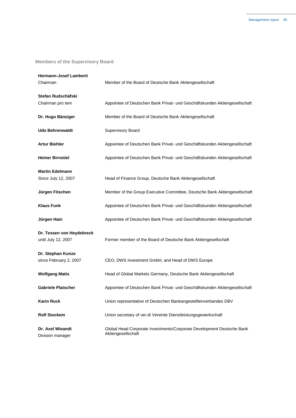# **Members of the Supervisory Board**

| Hermann-Josef Lamberti<br>Chairman               | Member of the Board of Deutsche Bank Aktiengesellschaft                                     |  |
|--------------------------------------------------|---------------------------------------------------------------------------------------------|--|
| Stefan Rudschäfski<br>Chairman pro tem           | Appointee of Deutschen Bank Privat- und Geschäftskunden Aktiengesellschaft                  |  |
| Dr. Hugo Bänziger                                | Member of the Board of Deutsche Bank Aktiengesellschaft                                     |  |
| <b>Udo Behrenwaldt</b>                           | Supervisory Board                                                                           |  |
| <b>Artur Biehler</b>                             | Appointee of Deutschen Bank Privat- und Geschäftskunden Aktiengesellschaft                  |  |
| <b>Heiner Birnstiel</b>                          | Appointee of Deutschen Bank Privat- und Geschäftskunden Aktiengesellschaft                  |  |
| <b>Martin Edelmann</b>                           |                                                                                             |  |
| Since July 12, 2007                              | Head of Finance Group, Deutsche Bank Aktiengesellschaft                                     |  |
| Jürgen Fitschen                                  | Member of the Group Executive Committee, Deutsche Bank Aktiengesellschaft                   |  |
| <b>Klaus Funk</b>                                | Appointee of Deutschen Bank Privat- und Geschäftskunden Aktiengesellschaft                  |  |
| Jürgen Hain                                      | Appointee of Deutschen Bank Privat- und Geschäftskunden Aktiengesellschaft                  |  |
| Dr. Tessen von Heydebreck<br>until July 12, 2007 | Former member of the Board of Deutsche Bank Aktiengesellschaft                              |  |
| Dr. Stephan Kunze<br>since February 2, 2007      | CEO, DWS Investment GmbH, and Head of DWS Europe                                            |  |
| <b>Wolfgang Matis</b>                            | Head of Global Markets Germany, Deutsche Bank Aktiengesellschaft                            |  |
| <b>Gabriele Platscher</b>                        | Appointee of Deutschen Bank Privat- und Geschäftskunden Aktiengesellschaft                  |  |
| <b>Karin Ruck</b>                                | Union representative of Deutschen Bankangestelltenverbandes DBV                             |  |
| <b>Rolf Stockem</b>                              | Union secretary of ver.di Vereinte Dienstleistungsgewerkschaft                              |  |
| Dr. Axel Wieandt<br>Division manager             | Global Head Corporate Investments/Corporate Development Deutsche Bank<br>Aktiengesellschaft |  |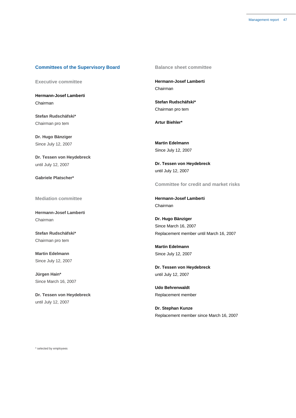# **Committees of the Supervisory Board**

**Executive committee**

**Hermann-Josef Lamberti** Chairman

**Stefan Rudschäfski\*** Chairman pro tem

**Dr. Hugo Bänziger** Since July 12, 2007

**Dr. Tessen von Heydebreck** until July 12, 2007

**Gabriele Platscher\***

**Mediation committee**

**Hermann-Josef Lamberti** Chairman

**Stefan Rudschäfski\*** Chairman pro tem

**Martin Edelmann** Since July 12, 2007

**Jürgen Hain\*** Since March 16, 2007

**Dr. Tessen von Heydebreck** until July 12, 2007

**Balance sheet committee**

**Hermann-Josef Lamberti** Chairman

**Stefan Rudschäfski\*** Chairman pro tem

**Artur Biehler\***

**Martin Edelmann** Since July 12, 2007

**Dr. Tessen von Heydebreck** until July 12, 2007

**Committee for credit and market risks**

**Hermann-Josef Lamberti** Chairman

**Dr. Hugo Bänziger** Since March 16, 2007 Replacement member until March 16, 2007

**Martin Edelmann** Since July 12, 2007

**Dr. Tessen von Heydebreck** until July 12, 2007

**Udo Behrenwaldt** Replacement member

**Dr. Stephan Kunze** Replacement member since March 16, 2007

\* selected by employees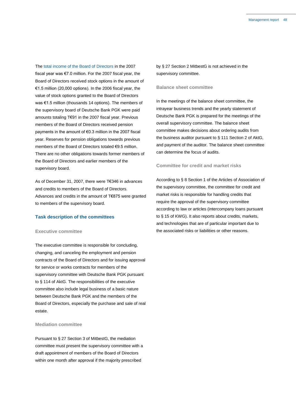The total income of the Board of Directors in the 2007 fiscal year was €7.0 million. For the 2007 fiscal year, the Board of Directors received stock options in the amount of €1.5 million (20,000 options). In the 2006 fiscal year, the value of stock options granted to the Board of Directors was €1.5 million (thousands 14 options). The members of the supervisory board of Deutsche Bank PGK were paid amounts totaling T€91 in the 2007 fiscal year. Previous members of the Board of Directors received pension payments in the amount of €0.3 million in the 2007 fiscal year. Reserves for pension obligations towards previous members of the Board of Directors totaled €9.5 million. There are no other obligations towards former members of the Board of Directors and earlier members of the supervisory board.

As of December 31, 2007, there were T€346 in advances and credits to members of the Board of Directors. Advances and credits in the amount of T€875 were granted to members of the supervisory board.

#### **Task description of the committees**

#### **Executive committee**

The executive committee is responsible for concluding, changing, and canceling the employment and pension contracts of the Board of Directors and for issuing approval for service or works contracts for members of the supervisory committee with Deutsche Bank PGK pursuant to § 114 of AktG. The responsibilities of the executive committee also include legal business of a basic nature between Deutsche Bank PGK and the members of the Board of Directors, especially the purchase and sale of real estate.

#### **Mediation committee**

Pursuant to § 27 Section 3 of MitbestG, the mediation committee must present the supervisory committee with a draft appointment of members of the Board of Directors within one month after approval if the majority prescribed

by § 27 Section 2 MitbestG is not achieved in the supervisory committee.

#### **Balance sheet committee**

In the meetings of the balance sheet committee, the intrayear business trends and the yearly statement of Deutsche Bank PGK is prepared for the meetings of the overall supervisory committee. The balance sheet committee makes decisions about ordering audits from the business auditor pursuant to § 111 Section 2 of AktG, and payment of the auditor. The balance sheet committee can determine the focus of audits.

# **Committee for credit and market risks**

According to § 8 Section 1 of the Articles of Association of the supervisory committee, the committee for credit and market risks is responsible for handling credits that require the approval of the supervisory committee according to law or articles (intercompany loans pursuant to § 15 of KWG). It also reports about credits, markets, and technologies that are of particular important due to the associated risks or liabilities or other reasons.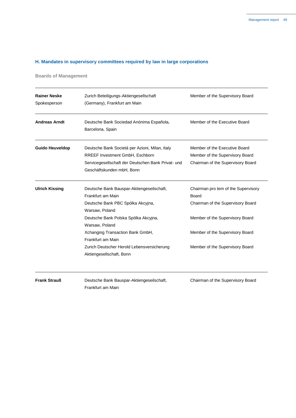# **H. Mandates in supervisory committees required by law in large corporations**

**Boards of Management**

| Zurich Beteiligungs-Aktiengesellschaft<br>(Germany), Frankfurt am Main                                                                                                      | Member of the Supervisory Board                                                                       |
|-----------------------------------------------------------------------------------------------------------------------------------------------------------------------------|-------------------------------------------------------------------------------------------------------|
| Deutsche Bank Sociedad Anónima Española,<br>Barcelona, Spain                                                                                                                | Member of the Executive Board                                                                         |
| Deutsche Bank Societá per Azioni, Milan, Italy<br><b>RREEF Investment GmbH. Eschborn</b><br>Servicegesellschaft der Deutschen Bank Privat- und<br>Geschäftskunden mbH, Bonn | Member of the Executive Board<br>Member of the Supervisory Board<br>Chairman of the Supervisory Board |
| Deutsche Bank Bauspar-Aktiengeseilschaft,<br>Frankfurt am Main<br>Deutsche Bank PBC Spólka Akcyjna,<br>Warsaw, Poland                                                       | Chairman pro tem of the Supervisory<br>Board<br>Chairman of the Supervisory Board                     |
| Deutsche Bank Polska Spólka Akcyjna,<br>Warsaw, Poland                                                                                                                      | Member of the Supervisory Board<br>Member of the Supervisory Board                                    |
| Frankfurt am Main<br>Zurich Deutscher Herold Lebensversicherung<br>Aktiengesellschaft, Bonn                                                                                 | Member of the Supervisory Board                                                                       |
|                                                                                                                                                                             | Xchanging Transaction Bank GmbH,                                                                      |

**Frank Strauß** Deutsche Bank Bauspar-Aktiengeseilschaft, Frankfurt am Main

Chairman of the Supervisory Board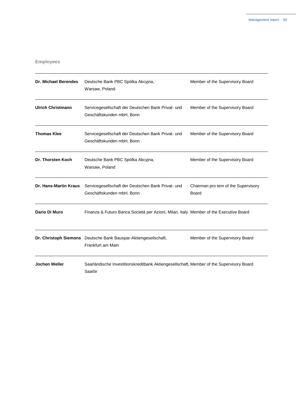# **Employees**

| <b>Dr. Michael Berendes</b>  | Deutsche Bank PBC Spólka Akcyjna,<br>Warsaw, Poland                                                | Member of the Supervisory Board                     |  |
|------------------------------|----------------------------------------------------------------------------------------------------|-----------------------------------------------------|--|
| <b>Ulrich Christmann</b>     | Servicegesellschaft der Deutschen Bank Privat- und<br>Geschäftskunden mbH, Bonn                    | Member of the Supervisory Board                     |  |
| <b>Thomas Klee</b>           | Servicegesellschaft der Deutschen Bank Privat- und<br>Geschäftskunden mbH, Bonn                    | Member of the Supervisory Board                     |  |
| Dr. Thorsten Koch            | Deutsche Bank PBC Spólka Akcyjna,<br>Warsaw, Poland                                                | Member of the Supervisory Board                     |  |
| <b>Dr. Hans-Martin Kraus</b> | Servicegesellschaft der Deutschen Bank Privat- und<br>Geschäftskunden mbH, Bonn                    | Chairman pro tem of the Supervisory<br><b>Board</b> |  |
| Dario Di Muro                | Finanza & Futuro Banca Societá per Azioni, Milan, Italy Member of the Executive Board              |                                                     |  |
|                              | Dr. Christoph Siemons Deutsche Bank Bauspar-Aktiengeseilschaft,<br>Frankfurt am Main               | Member of the Supervisory Board                     |  |
| <b>Jochen Weller</b>         | Saarländische Investitionskreditbank Aktiengesellschaft, Member of the Supervisory Board<br>Saarbr |                                                     |  |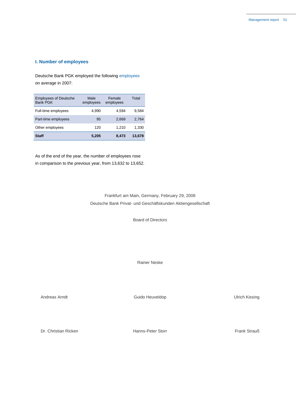# **I. Number of employees**

Deutsche Bank PGK employed the following employees on average in 2007:

| <b>Employees of Deutsche</b><br><b>Bank PGK</b> | Male<br>employees | Female<br>employees | Total  |
|-------------------------------------------------|-------------------|---------------------|--------|
| Full-time employees                             | 4.990             | 4.594               | 9.584  |
| Part-time employees                             | 95                | 2.669               | 2.764  |
| Other employees                                 | 120               | 1.210               | 1,330  |
| Staff                                           | 5,205             | 8,473               | 13.678 |

As of the end of the year, the number of employees rose in comparison to the previous year, from 13,632 to 13,652.

> Frankfurt am Main, Germany, February 29, 2008 Deutsche Bank Privat- und Geschäftskunden Aktiengesellschaft

> > Board of Directors

Rainer Neske

Andreas Arndt **Andreas Arndt** Cuido Heuveldop Cuido Heuveldop Cuido Heuveldop Andreas Arndt Cuido Heuveldop

Dr. Christian Ricken **Hanns-Peter Storr Frank Strauß** Frank Strauß